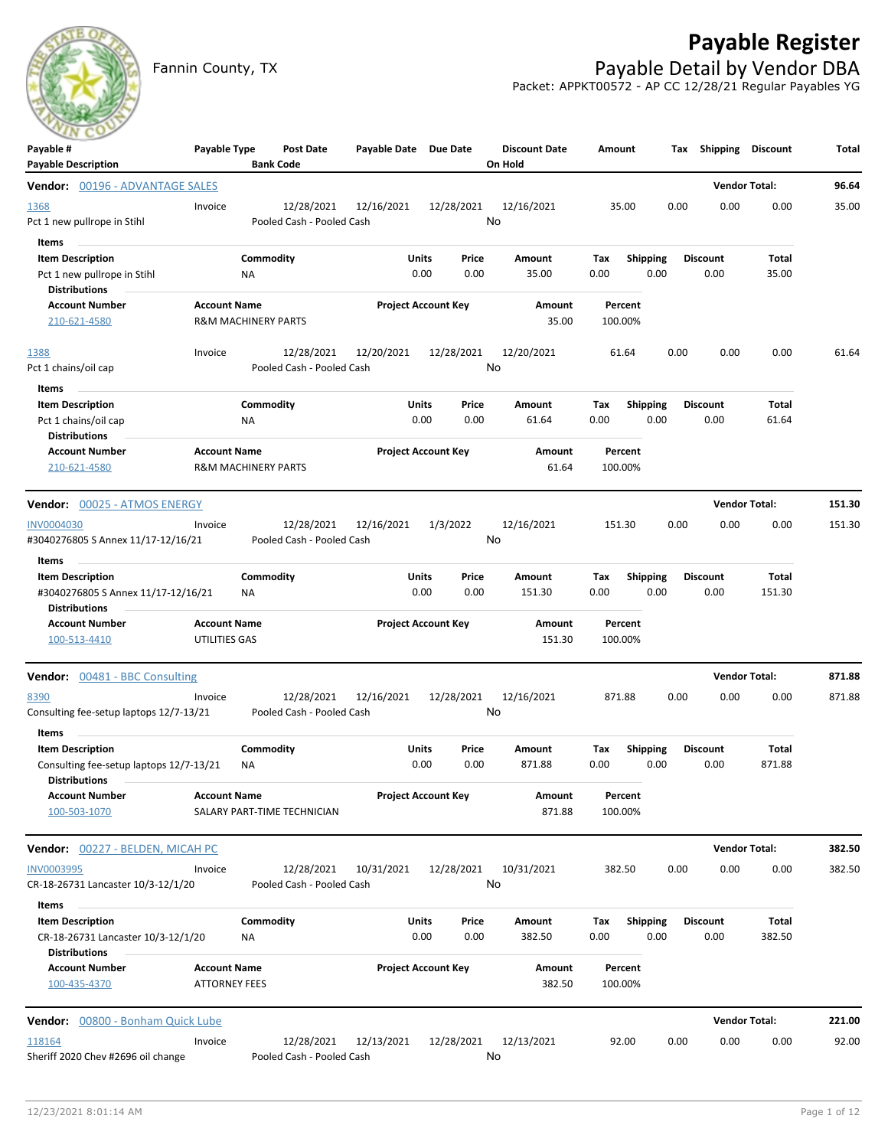## **Payable Register**



Fannin County, TX **Payable Detail by Vendor DBA** Packet: APPKT00572 - AP CC 12/28/21 Regular Payables YG

| $-1$                                                    |                      |                                |                                         |                       |                            |       |                                 |         |                 |      |                       |                      |        |
|---------------------------------------------------------|----------------------|--------------------------------|-----------------------------------------|-----------------------|----------------------------|-------|---------------------------------|---------|-----------------|------|-----------------------|----------------------|--------|
| Payable #<br><b>Payable Description</b>                 | Payable Type         |                                | Post Date<br><b>Bank Code</b>           | Payable Date Due Date |                            |       | <b>Discount Date</b><br>On Hold | Amount  |                 |      | Tax Shipping Discount |                      | Total  |
| Vendor: 00196 - ADVANTAGE SALES                         |                      |                                |                                         |                       |                            |       |                                 |         |                 |      |                       | <b>Vendor Total:</b> | 96.64  |
| 1368                                                    | Invoice              |                                | 12/28/2021                              | 12/16/2021            | 12/28/2021                 |       | 12/16/2021                      | 35.00   |                 | 0.00 | 0.00                  | 0.00                 | 35.00  |
| Pct 1 new pullrope in Stihl                             |                      |                                | Pooled Cash - Pooled Cash               |                       |                            |       | No                              |         |                 |      |                       |                      |        |
| Items                                                   |                      |                                |                                         |                       |                            |       |                                 |         |                 |      |                       |                      |        |
| <b>Item Description</b>                                 |                      | Commodity                      |                                         |                       | <b>Units</b>               | Price | Amount                          | Tax     | <b>Shipping</b> |      | <b>Discount</b>       | Total                |        |
| Pct 1 new pullrope in Stihl                             |                      | <b>NA</b>                      |                                         |                       | 0.00                       | 0.00  | 35.00                           | 0.00    | 0.00            |      | 0.00                  | 35.00                |        |
| <b>Distributions</b>                                    |                      |                                |                                         |                       |                            |       |                                 |         |                 |      |                       |                      |        |
| <b>Account Number</b>                                   | <b>Account Name</b>  |                                |                                         |                       | <b>Project Account Key</b> |       | Amount                          | Percent |                 |      |                       |                      |        |
| 210-621-4580                                            |                      | <b>R&amp;M MACHINERY PARTS</b> |                                         |                       |                            |       | 35.00                           | 100.00% |                 |      |                       |                      |        |
| 1388                                                    | Invoice              |                                | 12/28/2021                              | 12/20/2021            | 12/28/2021                 |       | 12/20/2021                      | 61.64   |                 | 0.00 | 0.00                  | 0.00                 | 61.64  |
| Pct 1 chains/oil cap                                    |                      |                                | Pooled Cash - Pooled Cash               |                       |                            |       | No                              |         |                 |      |                       |                      |        |
| Items                                                   |                      |                                |                                         |                       |                            |       |                                 |         |                 |      |                       |                      |        |
| <b>Item Description</b>                                 |                      | Commodity                      |                                         |                       | <b>Units</b>               | Price | Amount                          | Tax     | <b>Shipping</b> |      | <b>Discount</b>       | Total                |        |
| Pct 1 chains/oil cap<br><b>Distributions</b>            |                      | NA                             |                                         |                       | 0.00                       | 0.00  | 61.64                           | 0.00    | 0.00            |      | 0.00                  | 61.64                |        |
| <b>Account Number</b>                                   | <b>Account Name</b>  |                                |                                         |                       | <b>Project Account Key</b> |       | Amount                          | Percent |                 |      |                       |                      |        |
| 210-621-4580                                            |                      | <b>R&amp;M MACHINERY PARTS</b> |                                         |                       |                            |       | 61.64                           | 100.00% |                 |      |                       |                      |        |
| Vendor: 00025 - ATMOS ENERGY                            |                      |                                |                                         |                       |                            |       |                                 |         |                 |      |                       | <b>Vendor Total:</b> | 151.30 |
|                                                         |                      |                                |                                         |                       |                            |       |                                 |         |                 |      |                       |                      |        |
| <b>INV0004030</b><br>#3040276805 S Annex 11/17-12/16/21 | Invoice              |                                | 12/28/2021<br>Pooled Cash - Pooled Cash | 12/16/2021            | 1/3/2022                   |       | 12/16/2021<br>No                | 151.30  |                 | 0.00 | 0.00                  | 0.00                 | 151.30 |
|                                                         |                      |                                |                                         |                       |                            |       |                                 |         |                 |      |                       |                      |        |
| Items<br><b>Item Description</b>                        |                      | Commodity                      |                                         | Units                 |                            | Price | Amount                          | Tax     | <b>Shipping</b> |      | <b>Discount</b>       | Total                |        |
| #3040276805 S Annex 11/17-12/16/21                      |                      | ΝA                             |                                         |                       | 0.00                       | 0.00  | 151.30                          | 0.00    | 0.00            |      | 0.00                  | 151.30               |        |
| <b>Distributions</b>                                    |                      |                                |                                         |                       |                            |       |                                 |         |                 |      |                       |                      |        |
| <b>Account Number</b>                                   | <b>Account Name</b>  |                                |                                         |                       | <b>Project Account Key</b> |       | Amount                          | Percent |                 |      |                       |                      |        |
| 100-513-4410                                            | UTILITIES GAS        |                                |                                         |                       |                            |       | 151.30                          | 100.00% |                 |      |                       |                      |        |
| <b>Vendor:</b> 00481 - BBC Consulting                   |                      |                                |                                         |                       |                            |       |                                 |         |                 |      |                       | <b>Vendor Total:</b> | 871.88 |
| 8390                                                    | Invoice              |                                | 12/28/2021                              | 12/16/2021            | 12/28/2021                 |       | 12/16/2021                      | 871.88  |                 | 0.00 | 0.00                  | 0.00                 | 871.88 |
| Consulting fee-setup laptops 12/7-13/21                 |                      |                                | Pooled Cash - Pooled Cash               |                       |                            |       | No                              |         |                 |      |                       |                      |        |
|                                                         |                      |                                |                                         |                       |                            |       |                                 |         |                 |      |                       |                      |        |
| Items<br><b>Item Description</b>                        |                      | Commodity                      |                                         | Units                 |                            | Price | Amount                          | Tax     | <b>Shipping</b> |      | <b>Discount</b>       | Total                |        |
| Consulting fee-setup laptops 12/7-13/21                 |                      | ΝA                             |                                         |                       | 0.00                       | 0.00  | 871.88                          | 0.00    | 0.00            |      | 0.00                  | 871.88               |        |
| <b>Distributions</b>                                    |                      |                                |                                         |                       |                            |       |                                 |         |                 |      |                       |                      |        |
| <b>Account Number</b>                                   | <b>Account Name</b>  |                                |                                         |                       | <b>Project Account Key</b> |       | Amount                          | Percent |                 |      |                       |                      |        |
| 100-503-1070                                            |                      |                                | SALARY PART-TIME TECHNICIAN             |                       |                            |       | 871.88                          | 100.00% |                 |      |                       |                      |        |
| Vendor: 00227 - BELDEN, MICAH PC                        |                      |                                |                                         |                       |                            |       |                                 |         |                 |      |                       | <b>Vendor Total:</b> | 382.50 |
| <b>INV0003995</b>                                       | Invoice              |                                | 12/28/2021                              | 10/31/2021            | 12/28/2021                 |       | 10/31/2021                      | 382.50  |                 | 0.00 | 0.00                  | 0.00                 | 382.50 |
| CR-18-26731 Lancaster 10/3-12/1/20                      |                      |                                | Pooled Cash - Pooled Cash               |                       |                            |       | No                              |         |                 |      |                       |                      |        |
| Items                                                   |                      |                                |                                         |                       |                            |       |                                 |         |                 |      |                       |                      |        |
| <b>Item Description</b>                                 |                      | Commodity                      |                                         |                       | <b>Units</b>               | Price | Amount                          | Tax     | <b>Shipping</b> |      | <b>Discount</b>       | Total                |        |
| CR-18-26731 Lancaster 10/3-12/1/20                      |                      | ΝA                             |                                         |                       | 0.00                       | 0.00  | 382.50                          | 0.00    | 0.00            |      | 0.00                  | 382.50               |        |
| <b>Distributions</b>                                    |                      |                                |                                         |                       |                            |       |                                 |         |                 |      |                       |                      |        |
| <b>Account Number</b>                                   | <b>Account Name</b>  |                                |                                         |                       | <b>Project Account Key</b> |       | Amount                          | Percent |                 |      |                       |                      |        |
| 100-435-4370                                            | <b>ATTORNEY FEES</b> |                                |                                         |                       |                            |       | 382.50                          | 100.00% |                 |      |                       |                      |        |
| Vendor: 00800 - Bonham Quick Lube                       |                      |                                |                                         |                       |                            |       |                                 |         |                 |      |                       | <b>Vendor Total:</b> | 221.00 |
| 118164                                                  | Invoice              |                                | 12/28/2021                              | 12/13/2021            | 12/28/2021                 |       | 12/13/2021                      | 92.00   |                 | 0.00 | 0.00                  | 0.00                 | 92.00  |
| Sheriff 2020 Chev #2696 oil change                      |                      |                                | Pooled Cash - Pooled Cash               |                       |                            |       | No                              |         |                 |      |                       |                      |        |
|                                                         |                      |                                |                                         |                       |                            |       |                                 |         |                 |      |                       |                      |        |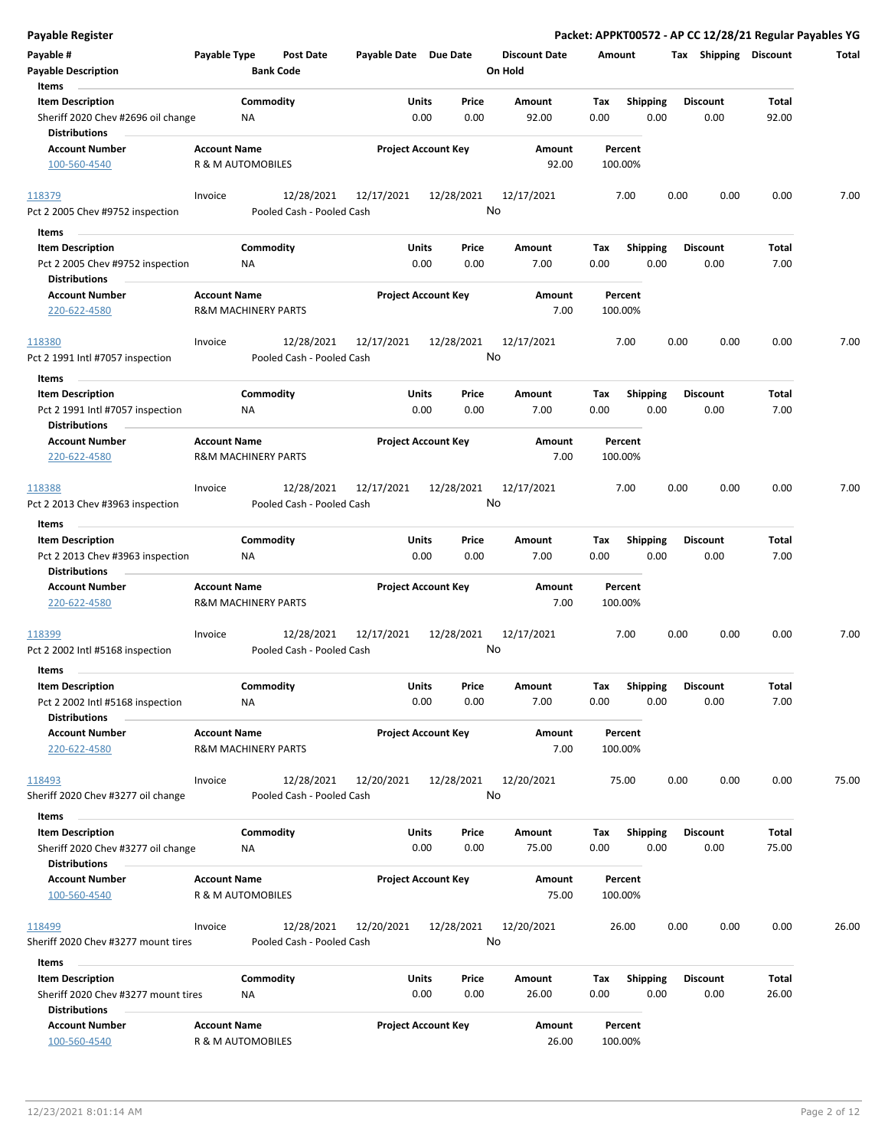| <b>Payable Register</b>                                                             |                     |                                      |                       |                            |                                 |                    |                         |                         | Packet: APPKT00572 - AP CC 12/28/21 Regular Payables YG |       |
|-------------------------------------------------------------------------------------|---------------------|--------------------------------------|-----------------------|----------------------------|---------------------------------|--------------------|-------------------------|-------------------------|---------------------------------------------------------|-------|
| Payable #<br><b>Payable Description</b>                                             | Payable Type        | <b>Post Date</b><br><b>Bank Code</b> | Payable Date Due Date |                            | <b>Discount Date</b><br>On Hold | Amount             |                         |                         | Tax Shipping Discount                                   | Total |
| Items                                                                               |                     |                                      |                       |                            |                                 |                    |                         |                         |                                                         |       |
| <b>Item Description</b><br>Sheriff 2020 Chev #2696 oil change                       |                     | Commodity<br><b>NA</b>               | Units                 | Price<br>0.00<br>0.00      | Amount<br>92.00                 | Tax<br>0.00        | <b>Shipping</b><br>0.00 | <b>Discount</b><br>0.00 | Total<br>92.00                                          |       |
| <b>Distributions</b>                                                                |                     |                                      |                       |                            |                                 |                    |                         |                         |                                                         |       |
| <b>Account Number</b><br>100-560-4540                                               | <b>Account Name</b> | R & M AUTOMOBILES                    |                       | <b>Project Account Key</b> | Amount<br>92.00                 | Percent<br>100.00% |                         |                         |                                                         |       |
| 118379                                                                              | Invoice             | 12/28/2021                           | 12/17/2021            | 12/28/2021                 | 12/17/2021                      | 7.00               |                         | 0.00                    | 0.00<br>0.00                                            | 7.00  |
| Pct 2 2005 Chev #9752 inspection                                                    |                     | Pooled Cash - Pooled Cash            |                       |                            | No                              |                    |                         |                         |                                                         |       |
| Items                                                                               |                     |                                      |                       |                            |                                 |                    |                         |                         |                                                         |       |
| <b>Item Description</b>                                                             |                     | Commodity                            | Units                 | Price                      | Amount                          | Tax                | <b>Shipping</b>         | <b>Discount</b>         | Total                                                   |       |
| Pct 2 2005 Chev #9752 inspection                                                    |                     | ΝA                                   |                       | 0.00<br>0.00               | 7.00                            | 0.00               | 0.00                    | 0.00                    | 7.00                                                    |       |
| <b>Distributions</b>                                                                |                     |                                      |                       |                            |                                 |                    |                         |                         |                                                         |       |
| <b>Account Number</b><br>220-622-4580                                               | <b>Account Name</b> | <b>R&amp;M MACHINERY PARTS</b>       |                       | <b>Project Account Key</b> | Amount<br>7.00                  | Percent<br>100.00% |                         |                         |                                                         |       |
| 118380                                                                              | Invoice             | 12/28/2021                           | 12/17/2021            | 12/28/2021                 | 12/17/2021<br>No                | 7.00               |                         | 0.00                    | 0.00<br>0.00                                            | 7.00  |
| Pct 2 1991 Intl #7057 inspection                                                    |                     | Pooled Cash - Pooled Cash            |                       |                            |                                 |                    |                         |                         |                                                         |       |
| Items                                                                               |                     |                                      |                       |                            |                                 |                    |                         |                         |                                                         |       |
| <b>Item Description</b><br>Pct 2 1991 Intl #7057 inspection<br><b>Distributions</b> |                     | Commodity<br><b>NA</b>               | Units                 | Price<br>0.00<br>0.00      | Amount<br>7.00                  | Tax<br>0.00        | <b>Shipping</b><br>0.00 | <b>Discount</b><br>0.00 | Total<br>7.00                                           |       |
| <b>Account Number</b>                                                               | <b>Account Name</b> |                                      |                       | <b>Project Account Key</b> | Amount                          | Percent            |                         |                         |                                                         |       |
| 220-622-4580                                                                        |                     | <b>R&amp;M MACHINERY PARTS</b>       |                       |                            | 7.00                            | 100.00%            |                         |                         |                                                         |       |
| 118388                                                                              | Invoice             | 12/28/2021                           | 12/17/2021            | 12/28/2021                 | 12/17/2021                      | 7.00               |                         | 0.00                    | 0.00<br>0.00                                            | 7.00  |
| Pct 2 2013 Chev #3963 inspection                                                    |                     | Pooled Cash - Pooled Cash            |                       |                            | No                              |                    |                         |                         |                                                         |       |
| Items                                                                               |                     |                                      |                       |                            |                                 |                    |                         |                         |                                                         |       |
| <b>Item Description</b>                                                             |                     | Commodity                            | Units                 | Price                      | Amount                          | Tax                | <b>Shipping</b>         | <b>Discount</b>         | Total                                                   |       |
| Pct 2 2013 Chev #3963 inspection<br><b>Distributions</b>                            |                     | <b>NA</b>                            |                       | 0.00<br>0.00               | 7.00                            | 0.00               | 0.00                    | 0.00                    | 7.00                                                    |       |
| <b>Account Number</b>                                                               | <b>Account Name</b> |                                      |                       | <b>Project Account Key</b> | Amount                          | Percent            |                         |                         |                                                         |       |
| 220-622-4580                                                                        |                     | <b>R&amp;M MACHINERY PARTS</b>       |                       |                            | 7.00                            | 100.00%            |                         |                         |                                                         |       |
| 118399                                                                              | Invoice             | 12/28/2021                           | 12/17/2021            | 12/28/2021                 | 12/17/2021                      | 7.00               |                         | 0.00                    | 0.00<br>0.00                                            | 7.00  |
| Pct 2 2002 Intl #5168 inspection                                                    |                     | Pooled Cash - Pooled Cash            |                       |                            | No                              |                    |                         |                         |                                                         |       |
| Items                                                                               |                     |                                      |                       |                            |                                 |                    |                         |                         |                                                         |       |
| <b>Item Description</b>                                                             |                     | Commodity                            | Units                 | Price                      | Amount                          | Tax                | Shipping                | <b>Discount</b>         | Total                                                   |       |
| Pct 2 2002 Intl #5168 inspection<br><b>Distributions</b>                            |                     | <b>NA</b>                            |                       | 0.00<br>0.00               | 7.00                            | 0.00               | 0.00                    | 0.00                    | 7.00                                                    |       |
| <b>Account Number</b>                                                               | <b>Account Name</b> |                                      |                       | <b>Project Account Key</b> | Amount                          | Percent            |                         |                         |                                                         |       |
| 220-622-4580                                                                        |                     | <b>R&amp;M MACHINERY PARTS</b>       |                       |                            | 7.00                            | 100.00%            |                         |                         |                                                         |       |
| 118493                                                                              | Invoice             | 12/28/2021                           | 12/20/2021            | 12/28/2021                 | 12/20/2021                      | 75.00              |                         | 0.00                    | 0.00<br>0.00                                            | 75.00 |
| Sheriff 2020 Chev #3277 oil change                                                  |                     | Pooled Cash - Pooled Cash            |                       |                            | No                              |                    |                         |                         |                                                         |       |
| Items                                                                               |                     |                                      |                       |                            |                                 |                    |                         |                         |                                                         |       |
| <b>Item Description</b>                                                             |                     | Commodity                            | Units                 | Price                      | Amount                          | Тах                | Shipping                | <b>Discount</b>         | Total                                                   |       |
| Sheriff 2020 Chev #3277 oil change                                                  |                     | ΝA                                   |                       | 0.00<br>0.00               | 75.00                           | 0.00               | 0.00                    | 0.00                    | 75.00                                                   |       |
| <b>Distributions</b>                                                                |                     |                                      |                       |                            |                                 |                    |                         |                         |                                                         |       |
| <b>Account Number</b>                                                               | <b>Account Name</b> |                                      |                       | <b>Project Account Key</b> | Amount                          | Percent            |                         |                         |                                                         |       |
| 100-560-4540                                                                        |                     | R & M AUTOMOBILES                    |                       |                            | 75.00                           | 100.00%            |                         |                         |                                                         |       |
| 118499                                                                              | Invoice             | 12/28/2021                           | 12/20/2021            | 12/28/2021                 | 12/20/2021                      | 26.00              |                         | 0.00                    | 0.00<br>0.00                                            | 26.00 |
| Sheriff 2020 Chev #3277 mount tires                                                 |                     | Pooled Cash - Pooled Cash            |                       |                            | No                              |                    |                         |                         |                                                         |       |
| Items                                                                               |                     |                                      |                       |                            |                                 |                    |                         |                         |                                                         |       |
| <b>Item Description</b>                                                             |                     | Commodity                            | Units                 | Price                      | Amount                          | Tax                | <b>Shipping</b>         | <b>Discount</b>         | Total                                                   |       |
| Sheriff 2020 Chev #3277 mount tires<br><b>Distributions</b>                         |                     | ΝA                                   |                       | 0.00<br>0.00               | 26.00                           | 0.00               | 0.00                    | 0.00                    | 26.00                                                   |       |
| <b>Account Number</b>                                                               | <b>Account Name</b> |                                      |                       | <b>Project Account Key</b> | Amount                          | Percent            |                         |                         |                                                         |       |
| 100-560-4540                                                                        |                     | R & M AUTOMOBILES                    |                       |                            | 26.00                           | 100.00%            |                         |                         |                                                         |       |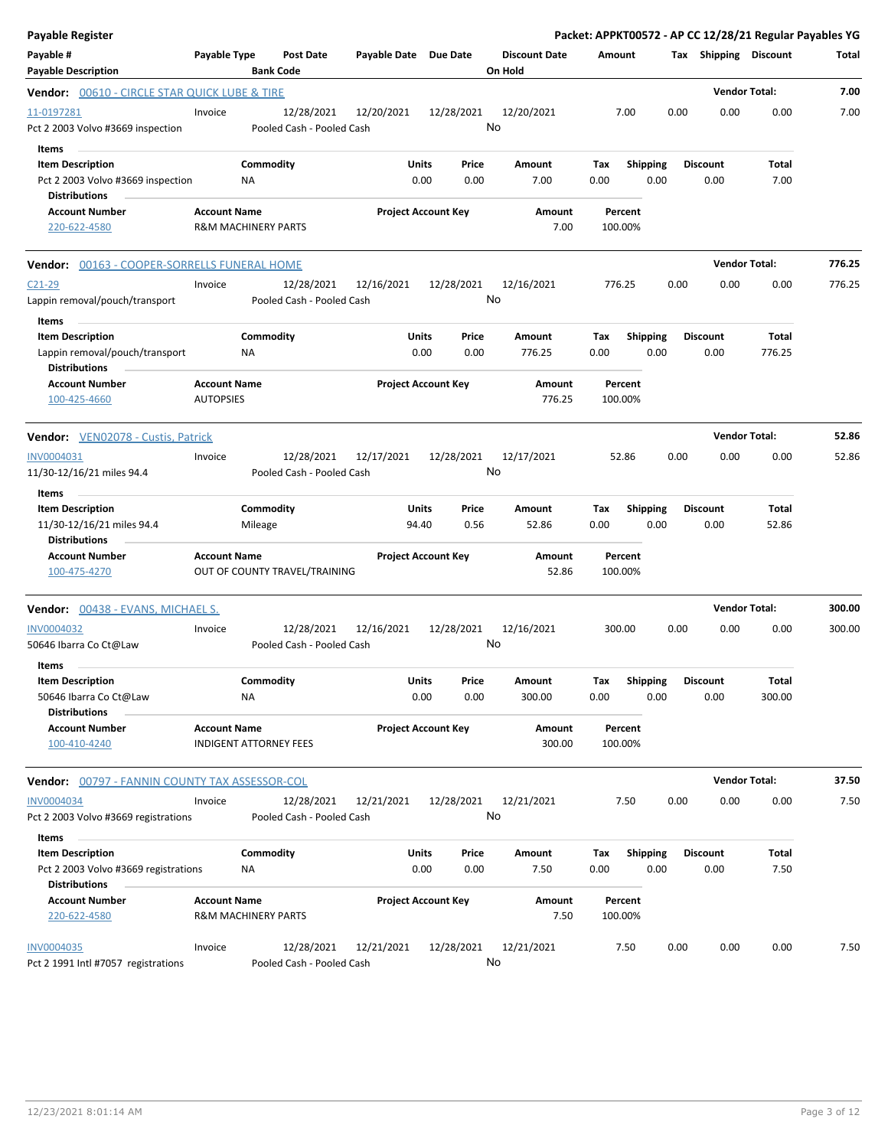| <b>Payable Register</b>                                                                       |                                                      |                      |                                         |                            |                      |               |                                 |                    |                           |      |                         | Packet: APPKT00572 - AP CC 12/28/21 Regular Payables YG |        |
|-----------------------------------------------------------------------------------------------|------------------------------------------------------|----------------------|-----------------------------------------|----------------------------|----------------------|---------------|---------------------------------|--------------------|---------------------------|------|-------------------------|---------------------------------------------------------|--------|
| Payable #<br><b>Payable Description</b>                                                       | Payable Type                                         | <b>Bank Code</b>     | Post Date                               | Payable Date Due Date      |                      |               | <b>Discount Date</b><br>On Hold | Amount             |                           |      | Tax Shipping Discount   |                                                         | Total  |
| <b>Vendor: 00610 - CIRCLE STAR QUICK LUBE &amp; TIRE</b>                                      |                                                      |                      |                                         |                            |                      |               |                                 |                    |                           |      | <b>Vendor Total:</b>    |                                                         | 7.00   |
| 11-0197281<br>Pct 2 2003 Volvo #3669 inspection                                               | Invoice                                              |                      | 12/28/2021<br>Pooled Cash - Pooled Cash | 12/20/2021                 |                      | 12/28/2021    | 12/20/2021<br>No                | 7.00               |                           | 0.00 | 0.00                    | 0.00                                                    | 7.00   |
| Items<br><b>Item Description</b><br>Pct 2 2003 Volvo #3669 inspection<br><b>Distributions</b> |                                                      | Commodity<br>ΝA      |                                         |                            | Units<br>0.00        | Price<br>0.00 | Amount<br>7.00                  | Tax<br>0.00        | <b>Shipping</b><br>0.00   |      | <b>Discount</b><br>0.00 | Total<br>7.00                                           |        |
| <b>Account Number</b><br>220-622-4580                                                         | <b>Account Name</b><br>R&M MACHINERY PARTS           |                      |                                         | <b>Project Account Key</b> |                      |               | Amount<br>7.00                  | Percent<br>100.00% |                           |      |                         |                                                         |        |
| Vendor: 00163 - COOPER-SORRELLS FUNERAL HOME                                                  |                                                      |                      |                                         |                            |                      |               |                                 |                    |                           |      | <b>Vendor Total:</b>    |                                                         | 776.25 |
| $C21-29$<br>Lappin removal/pouch/transport<br>Items                                           | Invoice                                              |                      | 12/28/2021<br>Pooled Cash - Pooled Cash | 12/16/2021                 |                      | 12/28/2021    | 12/16/2021<br>No                | 776.25             |                           | 0.00 | 0.00                    | 0.00                                                    | 776.25 |
| <b>Item Description</b><br>Lappin removal/pouch/transport<br><b>Distributions</b>             |                                                      | Commodity<br>NA      |                                         |                            | Units<br>0.00        | Price<br>0.00 | Amount<br>776.25                | Tax<br>0.00        | <b>Shipping</b><br>0.00   |      | <b>Discount</b><br>0.00 | Total<br>776.25                                         |        |
| <b>Account Number</b><br>100-425-4660                                                         | <b>Account Name</b><br><b>AUTOPSIES</b>              |                      |                                         | <b>Project Account Key</b> |                      |               | Amount<br>776.25                | Percent<br>100.00% |                           |      |                         |                                                         |        |
| <b>Vendor:</b> VEN02078 - Custis, Patrick                                                     |                                                      |                      |                                         |                            |                      |               |                                 |                    |                           |      | <b>Vendor Total:</b>    |                                                         | 52.86  |
| INV0004031<br>11/30-12/16/21 miles 94.4                                                       | Invoice                                              |                      | 12/28/2021<br>Pooled Cash - Pooled Cash | 12/17/2021                 |                      | 12/28/2021    | 12/17/2021<br>No                | 52.86              |                           | 0.00 | 0.00                    | 0.00                                                    | 52.86  |
| Items<br><b>Item Description</b><br>11/30-12/16/21 miles 94.4<br><b>Distributions</b>         |                                                      | Commodity<br>Mileage |                                         |                            | Units<br>94.40       | Price<br>0.56 | Amount<br>52.86                 | Tax<br>0.00        | <b>Shipping</b><br>0.00   |      | <b>Discount</b><br>0.00 | Total<br>52.86                                          |        |
| <b>Account Number</b><br>100-475-4270                                                         | <b>Account Name</b>                                  |                      | OUT OF COUNTY TRAVEL/TRAINING           | <b>Project Account Key</b> |                      |               | Amount<br>52.86                 | Percent<br>100.00% |                           |      |                         |                                                         |        |
| <b>Vendor:</b> 00438 - EVANS, MICHAEL S.                                                      |                                                      |                      |                                         |                            |                      |               |                                 |                    |                           |      | <b>Vendor Total:</b>    |                                                         | 300.00 |
| <b>INV0004032</b><br>50646 Ibarra Co Ct@Law                                                   | Invoice                                              |                      | 12/28/2021<br>Pooled Cash - Pooled Cash | 12/16/2021                 |                      | 12/28/2021    | 12/16/2021<br>No                | 300.00             |                           | 0.00 | 0.00                    | 0.00                                                    | 300.00 |
| Items<br><b>Item Description</b><br>50646 Ibarra Co Ct@Law<br><b>Distributions</b>            |                                                      | Commodity<br>NA      |                                         |                            | <b>Units</b><br>0.00 | Price<br>0.00 | Amount<br>300.00                | Tax<br>0.00        | Shipping Discount<br>0.00 |      | 0.00                    | Total<br>300.00                                         |        |
| <b>Account Number</b><br>100-410-4240                                                         | <b>Account Name</b><br><b>INDIGENT ATTORNEY FEES</b> |                      |                                         | <b>Project Account Key</b> |                      |               | Amount<br>300.00                | Percent<br>100.00% |                           |      |                         |                                                         |        |
| Vendor: 00797 - FANNIN COUNTY TAX ASSESSOR-COL                                                |                                                      |                      |                                         |                            |                      |               |                                 |                    |                           |      | <b>Vendor Total:</b>    |                                                         | 37.50  |
| <b>INV0004034</b><br>Pct 2 2003 Volvo #3669 registrations                                     | Invoice                                              |                      | 12/28/2021<br>Pooled Cash - Pooled Cash | 12/21/2021                 |                      | 12/28/2021    | 12/21/2021<br>No                | 7.50               |                           | 0.00 | 0.00                    | 0.00                                                    | 7.50   |
| Items<br><b>Item Description</b>                                                              |                                                      | Commodity            |                                         |                            | Units                | Price         | Amount                          | Тах                | Shipping                  |      | <b>Discount</b>         | Total                                                   |        |
| Pct 2 2003 Volvo #3669 registrations<br><b>Distributions</b>                                  |                                                      | NA                   |                                         |                            | 0.00                 | 0.00          | 7.50                            | 0.00               | 0.00                      |      | 0.00                    | 7.50                                                    |        |
| <b>Account Number</b><br>220-622-4580                                                         | <b>Account Name</b><br>R&M MACHINERY PARTS           |                      |                                         | <b>Project Account Key</b> |                      |               | Amount<br>7.50                  | Percent<br>100.00% |                           |      |                         |                                                         |        |
| INV0004035<br>Pct 2 1991 Intl #7057 registrations                                             | Invoice                                              |                      | 12/28/2021<br>Pooled Cash - Pooled Cash | 12/21/2021                 |                      | 12/28/2021    | 12/21/2021<br>No                | 7.50               |                           | 0.00 | 0.00                    | 0.00                                                    | 7.50   |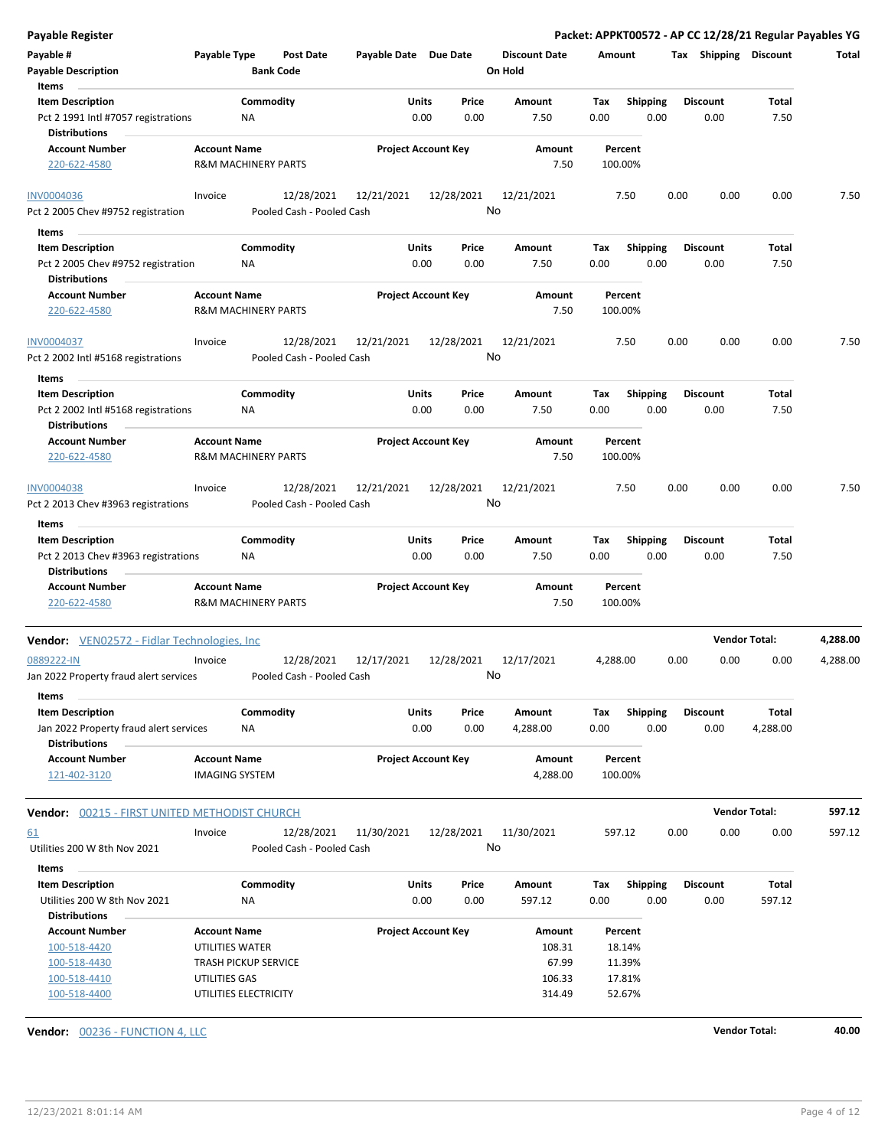| <b>Payable Register</b>                                           |                                              |                                |                                         |                            |               |                  |                                 |                    |                  |      |                         | Packet: APPKT00572 - AP CC 12/28/21 Regular Payables YG |          |
|-------------------------------------------------------------------|----------------------------------------------|--------------------------------|-----------------------------------------|----------------------------|---------------|------------------|---------------------------------|--------------------|------------------|------|-------------------------|---------------------------------------------------------|----------|
| Payable #<br><b>Payable Description</b>                           | Payable Type                                 | <b>Bank Code</b>               | Post Date                               | Payable Date Due Date      |               |                  | <b>Discount Date</b><br>On Hold | Amount             |                  |      | Tax Shipping Discount   |                                                         | Total    |
| Items                                                             |                                              |                                |                                         |                            |               |                  |                                 |                    |                  |      |                         |                                                         |          |
| <b>Item Description</b>                                           |                                              | Commodity                      |                                         |                            | Units         | Price            | Amount                          | Tax                | <b>Shipping</b>  |      | <b>Discount</b>         | Total                                                   |          |
| Pct 2 1991 Intl #7057 registrations<br><b>Distributions</b>       |                                              | NA                             |                                         |                            | 0.00          | 0.00             | 7.50                            | 0.00               | 0.00             |      | 0.00                    | 7.50                                                    |          |
| <b>Account Number</b>                                             | <b>Account Name</b>                          |                                |                                         | <b>Project Account Key</b> |               |                  | Amount                          | Percent            |                  |      |                         |                                                         |          |
| 220-622-4580                                                      |                                              | <b>R&amp;M MACHINERY PARTS</b> |                                         |                            |               |                  | 7.50                            | 100.00%            |                  |      |                         |                                                         |          |
| <b>INV0004036</b>                                                 | Invoice                                      |                                | 12/28/2021                              | 12/21/2021                 |               | 12/28/2021       | 12/21/2021                      | 7.50               |                  | 0.00 | 0.00                    | 0.00                                                    | 7.50     |
| Pct 2 2005 Chev #9752 registration                                |                                              |                                | Pooled Cash - Pooled Cash               |                            |               | No               |                                 |                    |                  |      |                         |                                                         |          |
| Items                                                             |                                              |                                |                                         |                            |               |                  |                                 |                    |                  |      |                         |                                                         |          |
| <b>Item Description</b>                                           |                                              | Commodity                      |                                         |                            | Units         | Price            | Amount                          | Тах                | <b>Shipping</b>  |      | <b>Discount</b>         | Total                                                   |          |
| Pct 2 2005 Chev #9752 registration<br><b>Distributions</b>        |                                              | NA                             |                                         |                            | 0.00          | 0.00             | 7.50                            | 0.00               | 0.00             |      | 0.00                    | 7.50                                                    |          |
| <b>Account Number</b>                                             | <b>Account Name</b>                          |                                |                                         | <b>Project Account Key</b> |               |                  | Amount                          | Percent            |                  |      |                         |                                                         |          |
| 220-622-4580                                                      |                                              | R&M MACHINERY PARTS            |                                         |                            |               |                  | 7.50                            | 100.00%            |                  |      |                         |                                                         |          |
| <b>INV0004037</b>                                                 | Invoice                                      |                                | 12/28/2021                              | 12/21/2021                 |               | 12/28/2021       | 12/21/2021                      | 7.50               |                  | 0.00 | 0.00                    | 0.00                                                    | 7.50     |
| Pct 2 2002 Intl #5168 registrations                               |                                              |                                | Pooled Cash - Pooled Cash               |                            |               | No               |                                 |                    |                  |      |                         |                                                         |          |
| Items                                                             |                                              |                                |                                         |                            |               |                  |                                 |                    |                  |      |                         |                                                         |          |
| <b>Item Description</b>                                           |                                              | Commodity                      |                                         |                            | Units         | Price            | Amount                          | Tax                | <b>Shipping</b>  |      | <b>Discount</b>         | Total                                                   |          |
| Pct 2 2002 Intl #5168 registrations<br><b>Distributions</b>       |                                              | ΝA                             |                                         |                            | 0.00          | 0.00             | 7.50                            | 0.00               | 0.00             |      | 0.00                    | 7.50                                                    |          |
| <b>Account Number</b>                                             | <b>Account Name</b>                          |                                |                                         | <b>Project Account Key</b> |               |                  | Amount                          | Percent            |                  |      |                         |                                                         |          |
| 220-622-4580                                                      |                                              | <b>R&amp;M MACHINERY PARTS</b> |                                         |                            |               |                  | 7.50                            | 100.00%            |                  |      |                         |                                                         |          |
| INV0004038                                                        | Invoice                                      |                                | 12/28/2021                              | 12/21/2021                 |               | 12/28/2021       | 12/21/2021                      | 7.50               |                  | 0.00 | 0.00                    | 0.00                                                    | 7.50     |
| Pct 2 2013 Chev #3963 registrations<br>Items                      |                                              |                                | Pooled Cash - Pooled Cash               |                            |               | No               |                                 |                    |                  |      |                         |                                                         |          |
| <b>Item Description</b>                                           |                                              | Commodity                      |                                         |                            | Units         | Price            | Amount                          | Tax                | <b>Shipping</b>  |      | <b>Discount</b>         | Total                                                   |          |
| Pct 2 2013 Chev #3963 registrations<br><b>Distributions</b>       |                                              | ΝA                             |                                         |                            | 0.00          | 0.00             | 7.50                            | 0.00               | 0.00             |      | 0.00                    | 7.50                                                    |          |
| <b>Account Number</b><br>220-622-4580                             | <b>Account Name</b>                          | <b>R&amp;M MACHINERY PARTS</b> |                                         | <b>Project Account Key</b> |               |                  | Amount<br>7.50                  | Percent<br>100.00% |                  |      |                         |                                                         |          |
| <b>Vendor:</b> VEN02572 - Fidlar Technologies, Inc                |                                              |                                |                                         |                            |               |                  |                                 |                    |                  |      |                         | <b>Vendor Total:</b>                                    | 4,288.00 |
| 0889222-IN<br>Jan 2022 Property fraud alert services              | Invoice                                      |                                | 12/28/2021<br>Pooled Cash - Pooled Cash | 12/17/2021                 |               | 12/28/2021       | 12/17/2021<br>No                | 4,288.00           |                  | 0.00 | 0.00                    | 0.00                                                    | 4,288.00 |
|                                                                   |                                              |                                |                                         |                            |               |                  |                                 |                    |                  |      |                         |                                                         |          |
| Items                                                             |                                              |                                |                                         |                            |               |                  |                                 |                    |                  |      |                         |                                                         |          |
| <b>Item Description</b><br>Jan 2022 Property fraud alert services |                                              | Commodity<br>NA                |                                         |                            | Units<br>0.00 | Price<br>0.00    | Amount<br>4,288.00              | Tax<br>0.00        | Shipping<br>0.00 |      | <b>Discount</b><br>0.00 | Total<br>4,288.00                                       |          |
| <b>Distributions</b>                                              |                                              |                                |                                         |                            |               |                  |                                 |                    |                  |      |                         |                                                         |          |
| <b>Account Number</b><br>121-402-3120                             | <b>Account Name</b><br><b>IMAGING SYSTEM</b> |                                |                                         | <b>Project Account Key</b> |               |                  | Amount<br>4,288.00              | Percent<br>100.00% |                  |      |                         |                                                         |          |
| Vendor: 00215 - FIRST UNITED METHODIST CHURCH                     |                                              |                                |                                         |                            |               |                  |                                 |                    |                  |      |                         | <b>Vendor Total:</b>                                    | 597.12   |
| <u>61</u><br>Utilities 200 W 8th Nov 2021                         | Invoice                                      |                                | 12/28/2021<br>Pooled Cash - Pooled Cash | 11/30/2021                 |               | 12/28/2021<br>No | 11/30/2021                      | 597.12             |                  | 0.00 | 0.00                    | 0.00                                                    | 597.12   |
|                                                                   |                                              |                                |                                         |                            |               |                  |                                 |                    |                  |      |                         |                                                         |          |
| Items                                                             |                                              |                                |                                         |                            |               |                  |                                 |                    |                  |      |                         |                                                         |          |
| <b>Item Description</b>                                           |                                              | Commodity                      |                                         |                            | <b>Units</b>  | Price            | Amount                          | Tax                | <b>Shipping</b>  |      | <b>Discount</b>         | Total                                                   |          |
| Utilities 200 W 8th Nov 2021                                      |                                              | NA                             |                                         |                            | 0.00          | 0.00             | 597.12                          | 0.00               | 0.00             |      | 0.00                    | 597.12                                                  |          |
| <b>Distributions</b>                                              |                                              |                                |                                         |                            |               |                  |                                 |                    |                  |      |                         |                                                         |          |
| <b>Account Number</b>                                             | <b>Account Name</b>                          |                                |                                         | <b>Project Account Key</b> |               |                  | Amount                          | Percent            |                  |      |                         |                                                         |          |
| 100-518-4420                                                      | UTILITIES WATER                              |                                |                                         |                            |               |                  | 108.31                          | 18.14%             |                  |      |                         |                                                         |          |
| 100-518-4430                                                      |                                              | <b>TRASH PICKUP SERVICE</b>    |                                         |                            |               |                  | 67.99                           | 11.39%             |                  |      |                         |                                                         |          |
| 100-518-4410                                                      | UTILITIES GAS                                |                                |                                         |                            |               |                  | 106.33                          | 17.81%             |                  |      |                         |                                                         |          |
| 100-518-4400                                                      |                                              | UTILITIES ELECTRICITY          |                                         |                            |               |                  | 314.49                          | 52.67%             |                  |      |                         |                                                         |          |

**Vendor:** 00236 - FUNCTION 4, LLC **Vendor Total: 40.00**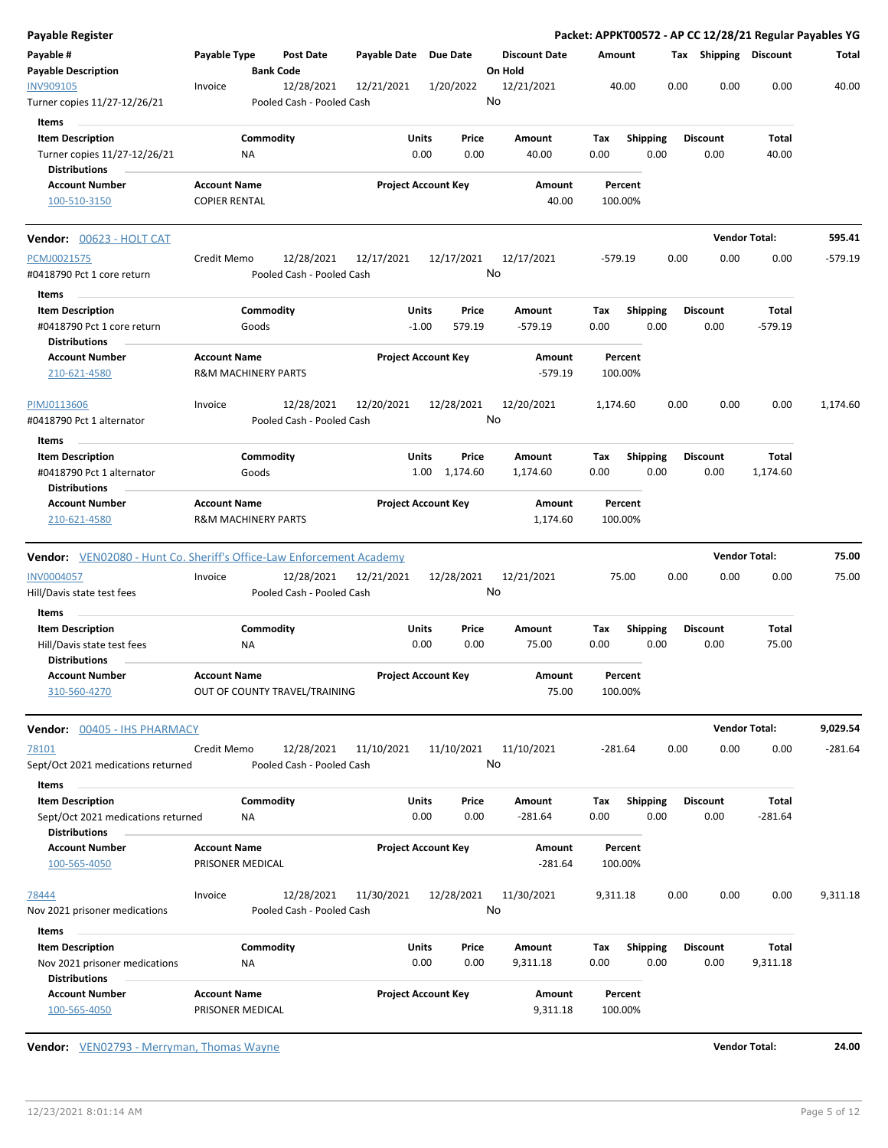| Payable #<br>Payable Type<br><b>Discount Date</b><br><b>Post Date</b><br>Payable Date Due Date<br>Amount<br>Tax Shipping Discount<br>Total<br><b>Payable Description</b><br><b>Bank Code</b><br>On Hold<br>12/21/2021<br>40.00<br>0.00<br>0.00<br>0.00<br>40.00<br>12/28/2021<br>12/21/2021<br>1/20/2022<br>Invoice<br>No<br>Pooled Cash - Pooled Cash<br>Items<br><b>Item Description</b><br>Commodity<br>Units<br>Price<br>Total<br>Amount<br>Tax<br><b>Shipping</b><br><b>Discount</b><br>Turner copies 11/27-12/26/21<br>0.00<br>0.00<br>40.00<br>0.00<br>0.00<br>0.00<br>40.00<br>ΝA<br><b>Distributions</b><br><b>Project Account Key</b><br><b>Account Number</b><br><b>Account Name</b><br>Amount<br>Percent<br><b>COPIER RENTAL</b><br>40.00<br>100.00%<br>100-510-3150<br><b>Vendor Total:</b><br>595.41<br>Credit Memo<br>12/28/2021<br>12/17/2021<br>12/17/2021<br>12/17/2021<br>$-579.19$<br>0.00<br>0.00<br>0.00<br>$-579.19$<br>No<br>Pooled Cash - Pooled Cash<br>Items<br>Commodity<br>Units<br>Price<br>Total<br><b>Item Description</b><br>Tax<br><b>Shipping</b><br><b>Discount</b><br>Amount<br>0.00<br>#0418790 Pct 1 core return<br>$-1.00$<br>579.19<br>$-579.19$<br>0.00<br>0.00<br>$-579.19$<br>Goods<br><b>Distributions</b><br><b>Project Account Key</b><br><b>Account Number</b><br><b>Account Name</b><br>Amount<br>Percent<br><b>R&amp;M MACHINERY PARTS</b><br>$-579.19$<br>100.00%<br>210-621-4580<br>12/28/2021<br>12/28/2021<br>12/20/2021<br>0.00<br>0.00<br>0.00<br>1,174.60<br>Invoice<br>12/20/2021<br>1,174.60<br>No<br>Pooled Cash - Pooled Cash<br>Items<br>Commodity<br><b>Shipping</b><br><b>Item Description</b><br>Units<br>Price<br>Amount<br>Tax<br><b>Discount</b><br>Total<br>Goods<br>1.00 1,174.60<br>0.00<br>0.00<br>#0418790 Pct 1 alternator<br>1,174.60<br>0.00<br>1,174.60<br><b>Distributions</b><br><b>Account Number</b><br><b>Account Name</b><br><b>Project Account Key</b><br>Amount<br>Percent<br><b>R&amp;M MACHINERY PARTS</b><br>210-621-4580<br>1,174.60<br>100.00%<br>Vendor: VEN02080 - Hunt Co. Sheriff's Office-Law Enforcement Academy<br><b>Vendor Total:</b><br>75.00<br>INV0004057<br>12/21/2021<br>12/28/2021<br>12/21/2021<br>75.00<br>Invoice<br>12/28/2021<br>75.00<br>0.00<br>0.00<br>0.00<br>No<br>Hill/Davis state test fees<br>Pooled Cash - Pooled Cash<br>Items<br><b>Item Description</b><br>Commodity<br>Price<br>Total<br>Units<br>Amount<br>Tax<br><b>Shipping</b><br><b>Discount</b><br>Hill/Davis state test fees<br>0.00<br>0.00<br>75.00<br>0.00<br>0.00<br>0.00<br>75.00<br>ΝA<br><b>Distributions</b><br><b>Account Name</b><br><b>Project Account Key</b><br>Percent<br><b>Account Number</b><br>Amount |
|-----------------------------------------------------------------------------------------------------------------------------------------------------------------------------------------------------------------------------------------------------------------------------------------------------------------------------------------------------------------------------------------------------------------------------------------------------------------------------------------------------------------------------------------------------------------------------------------------------------------------------------------------------------------------------------------------------------------------------------------------------------------------------------------------------------------------------------------------------------------------------------------------------------------------------------------------------------------------------------------------------------------------------------------------------------------------------------------------------------------------------------------------------------------------------------------------------------------------------------------------------------------------------------------------------------------------------------------------------------------------------------------------------------------------------------------------------------------------------------------------------------------------------------------------------------------------------------------------------------------------------------------------------------------------------------------------------------------------------------------------------------------------------------------------------------------------------------------------------------------------------------------------------------------------------------------------------------------------------------------------------------------------------------------------------------------------------------------------------------------------------------------------------------------------------------------------------------------------------------------------------------------------------------------------------------------------------------------------------------------------------------------------------------------------------------------------------------------------------------------------------------------------------------------------------------------------------------------------------------------------------------------------------------------------------------------------------------|
| <b>INV909105</b><br>Turner copies 11/27-12/26/21<br><b>Vendor:</b> 00623 - HOLT CAT<br>PCMJ0021575<br>#0418790 Pct 1 core return<br>PIMJ0113606<br>#0418790 Pct 1 alternator                                                                                                                                                                                                                                                                                                                                                                                                                                                                                                                                                                                                                                                                                                                                                                                                                                                                                                                                                                                                                                                                                                                                                                                                                                                                                                                                                                                                                                                                                                                                                                                                                                                                                                                                                                                                                                                                                                                                                                                                                                                                                                                                                                                                                                                                                                                                                                                                                                                                                                                              |
|                                                                                                                                                                                                                                                                                                                                                                                                                                                                                                                                                                                                                                                                                                                                                                                                                                                                                                                                                                                                                                                                                                                                                                                                                                                                                                                                                                                                                                                                                                                                                                                                                                                                                                                                                                                                                                                                                                                                                                                                                                                                                                                                                                                                                                                                                                                                                                                                                                                                                                                                                                                                                                                                                                           |
|                                                                                                                                                                                                                                                                                                                                                                                                                                                                                                                                                                                                                                                                                                                                                                                                                                                                                                                                                                                                                                                                                                                                                                                                                                                                                                                                                                                                                                                                                                                                                                                                                                                                                                                                                                                                                                                                                                                                                                                                                                                                                                                                                                                                                                                                                                                                                                                                                                                                                                                                                                                                                                                                                                           |
|                                                                                                                                                                                                                                                                                                                                                                                                                                                                                                                                                                                                                                                                                                                                                                                                                                                                                                                                                                                                                                                                                                                                                                                                                                                                                                                                                                                                                                                                                                                                                                                                                                                                                                                                                                                                                                                                                                                                                                                                                                                                                                                                                                                                                                                                                                                                                                                                                                                                                                                                                                                                                                                                                                           |
|                                                                                                                                                                                                                                                                                                                                                                                                                                                                                                                                                                                                                                                                                                                                                                                                                                                                                                                                                                                                                                                                                                                                                                                                                                                                                                                                                                                                                                                                                                                                                                                                                                                                                                                                                                                                                                                                                                                                                                                                                                                                                                                                                                                                                                                                                                                                                                                                                                                                                                                                                                                                                                                                                                           |
|                                                                                                                                                                                                                                                                                                                                                                                                                                                                                                                                                                                                                                                                                                                                                                                                                                                                                                                                                                                                                                                                                                                                                                                                                                                                                                                                                                                                                                                                                                                                                                                                                                                                                                                                                                                                                                                                                                                                                                                                                                                                                                                                                                                                                                                                                                                                                                                                                                                                                                                                                                                                                                                                                                           |
|                                                                                                                                                                                                                                                                                                                                                                                                                                                                                                                                                                                                                                                                                                                                                                                                                                                                                                                                                                                                                                                                                                                                                                                                                                                                                                                                                                                                                                                                                                                                                                                                                                                                                                                                                                                                                                                                                                                                                                                                                                                                                                                                                                                                                                                                                                                                                                                                                                                                                                                                                                                                                                                                                                           |
|                                                                                                                                                                                                                                                                                                                                                                                                                                                                                                                                                                                                                                                                                                                                                                                                                                                                                                                                                                                                                                                                                                                                                                                                                                                                                                                                                                                                                                                                                                                                                                                                                                                                                                                                                                                                                                                                                                                                                                                                                                                                                                                                                                                                                                                                                                                                                                                                                                                                                                                                                                                                                                                                                                           |
|                                                                                                                                                                                                                                                                                                                                                                                                                                                                                                                                                                                                                                                                                                                                                                                                                                                                                                                                                                                                                                                                                                                                                                                                                                                                                                                                                                                                                                                                                                                                                                                                                                                                                                                                                                                                                                                                                                                                                                                                                                                                                                                                                                                                                                                                                                                                                                                                                                                                                                                                                                                                                                                                                                           |
|                                                                                                                                                                                                                                                                                                                                                                                                                                                                                                                                                                                                                                                                                                                                                                                                                                                                                                                                                                                                                                                                                                                                                                                                                                                                                                                                                                                                                                                                                                                                                                                                                                                                                                                                                                                                                                                                                                                                                                                                                                                                                                                                                                                                                                                                                                                                                                                                                                                                                                                                                                                                                                                                                                           |
|                                                                                                                                                                                                                                                                                                                                                                                                                                                                                                                                                                                                                                                                                                                                                                                                                                                                                                                                                                                                                                                                                                                                                                                                                                                                                                                                                                                                                                                                                                                                                                                                                                                                                                                                                                                                                                                                                                                                                                                                                                                                                                                                                                                                                                                                                                                                                                                                                                                                                                                                                                                                                                                                                                           |
|                                                                                                                                                                                                                                                                                                                                                                                                                                                                                                                                                                                                                                                                                                                                                                                                                                                                                                                                                                                                                                                                                                                                                                                                                                                                                                                                                                                                                                                                                                                                                                                                                                                                                                                                                                                                                                                                                                                                                                                                                                                                                                                                                                                                                                                                                                                                                                                                                                                                                                                                                                                                                                                                                                           |
|                                                                                                                                                                                                                                                                                                                                                                                                                                                                                                                                                                                                                                                                                                                                                                                                                                                                                                                                                                                                                                                                                                                                                                                                                                                                                                                                                                                                                                                                                                                                                                                                                                                                                                                                                                                                                                                                                                                                                                                                                                                                                                                                                                                                                                                                                                                                                                                                                                                                                                                                                                                                                                                                                                           |
|                                                                                                                                                                                                                                                                                                                                                                                                                                                                                                                                                                                                                                                                                                                                                                                                                                                                                                                                                                                                                                                                                                                                                                                                                                                                                                                                                                                                                                                                                                                                                                                                                                                                                                                                                                                                                                                                                                                                                                                                                                                                                                                                                                                                                                                                                                                                                                                                                                                                                                                                                                                                                                                                                                           |
|                                                                                                                                                                                                                                                                                                                                                                                                                                                                                                                                                                                                                                                                                                                                                                                                                                                                                                                                                                                                                                                                                                                                                                                                                                                                                                                                                                                                                                                                                                                                                                                                                                                                                                                                                                                                                                                                                                                                                                                                                                                                                                                                                                                                                                                                                                                                                                                                                                                                                                                                                                                                                                                                                                           |
|                                                                                                                                                                                                                                                                                                                                                                                                                                                                                                                                                                                                                                                                                                                                                                                                                                                                                                                                                                                                                                                                                                                                                                                                                                                                                                                                                                                                                                                                                                                                                                                                                                                                                                                                                                                                                                                                                                                                                                                                                                                                                                                                                                                                                                                                                                                                                                                                                                                                                                                                                                                                                                                                                                           |
|                                                                                                                                                                                                                                                                                                                                                                                                                                                                                                                                                                                                                                                                                                                                                                                                                                                                                                                                                                                                                                                                                                                                                                                                                                                                                                                                                                                                                                                                                                                                                                                                                                                                                                                                                                                                                                                                                                                                                                                                                                                                                                                                                                                                                                                                                                                                                                                                                                                                                                                                                                                                                                                                                                           |
|                                                                                                                                                                                                                                                                                                                                                                                                                                                                                                                                                                                                                                                                                                                                                                                                                                                                                                                                                                                                                                                                                                                                                                                                                                                                                                                                                                                                                                                                                                                                                                                                                                                                                                                                                                                                                                                                                                                                                                                                                                                                                                                                                                                                                                                                                                                                                                                                                                                                                                                                                                                                                                                                                                           |
|                                                                                                                                                                                                                                                                                                                                                                                                                                                                                                                                                                                                                                                                                                                                                                                                                                                                                                                                                                                                                                                                                                                                                                                                                                                                                                                                                                                                                                                                                                                                                                                                                                                                                                                                                                                                                                                                                                                                                                                                                                                                                                                                                                                                                                                                                                                                                                                                                                                                                                                                                                                                                                                                                                           |
|                                                                                                                                                                                                                                                                                                                                                                                                                                                                                                                                                                                                                                                                                                                                                                                                                                                                                                                                                                                                                                                                                                                                                                                                                                                                                                                                                                                                                                                                                                                                                                                                                                                                                                                                                                                                                                                                                                                                                                                                                                                                                                                                                                                                                                                                                                                                                                                                                                                                                                                                                                                                                                                                                                           |
|                                                                                                                                                                                                                                                                                                                                                                                                                                                                                                                                                                                                                                                                                                                                                                                                                                                                                                                                                                                                                                                                                                                                                                                                                                                                                                                                                                                                                                                                                                                                                                                                                                                                                                                                                                                                                                                                                                                                                                                                                                                                                                                                                                                                                                                                                                                                                                                                                                                                                                                                                                                                                                                                                                           |
|                                                                                                                                                                                                                                                                                                                                                                                                                                                                                                                                                                                                                                                                                                                                                                                                                                                                                                                                                                                                                                                                                                                                                                                                                                                                                                                                                                                                                                                                                                                                                                                                                                                                                                                                                                                                                                                                                                                                                                                                                                                                                                                                                                                                                                                                                                                                                                                                                                                                                                                                                                                                                                                                                                           |
|                                                                                                                                                                                                                                                                                                                                                                                                                                                                                                                                                                                                                                                                                                                                                                                                                                                                                                                                                                                                                                                                                                                                                                                                                                                                                                                                                                                                                                                                                                                                                                                                                                                                                                                                                                                                                                                                                                                                                                                                                                                                                                                                                                                                                                                                                                                                                                                                                                                                                                                                                                                                                                                                                                           |
|                                                                                                                                                                                                                                                                                                                                                                                                                                                                                                                                                                                                                                                                                                                                                                                                                                                                                                                                                                                                                                                                                                                                                                                                                                                                                                                                                                                                                                                                                                                                                                                                                                                                                                                                                                                                                                                                                                                                                                                                                                                                                                                                                                                                                                                                                                                                                                                                                                                                                                                                                                                                                                                                                                           |
|                                                                                                                                                                                                                                                                                                                                                                                                                                                                                                                                                                                                                                                                                                                                                                                                                                                                                                                                                                                                                                                                                                                                                                                                                                                                                                                                                                                                                                                                                                                                                                                                                                                                                                                                                                                                                                                                                                                                                                                                                                                                                                                                                                                                                                                                                                                                                                                                                                                                                                                                                                                                                                                                                                           |
|                                                                                                                                                                                                                                                                                                                                                                                                                                                                                                                                                                                                                                                                                                                                                                                                                                                                                                                                                                                                                                                                                                                                                                                                                                                                                                                                                                                                                                                                                                                                                                                                                                                                                                                                                                                                                                                                                                                                                                                                                                                                                                                                                                                                                                                                                                                                                                                                                                                                                                                                                                                                                                                                                                           |
|                                                                                                                                                                                                                                                                                                                                                                                                                                                                                                                                                                                                                                                                                                                                                                                                                                                                                                                                                                                                                                                                                                                                                                                                                                                                                                                                                                                                                                                                                                                                                                                                                                                                                                                                                                                                                                                                                                                                                                                                                                                                                                                                                                                                                                                                                                                                                                                                                                                                                                                                                                                                                                                                                                           |
|                                                                                                                                                                                                                                                                                                                                                                                                                                                                                                                                                                                                                                                                                                                                                                                                                                                                                                                                                                                                                                                                                                                                                                                                                                                                                                                                                                                                                                                                                                                                                                                                                                                                                                                                                                                                                                                                                                                                                                                                                                                                                                                                                                                                                                                                                                                                                                                                                                                                                                                                                                                                                                                                                                           |
| 75.00<br>OUT OF COUNTY TRAVEL/TRAINING<br>100.00%<br>310-560-4270                                                                                                                                                                                                                                                                                                                                                                                                                                                                                                                                                                                                                                                                                                                                                                                                                                                                                                                                                                                                                                                                                                                                                                                                                                                                                                                                                                                                                                                                                                                                                                                                                                                                                                                                                                                                                                                                                                                                                                                                                                                                                                                                                                                                                                                                                                                                                                                                                                                                                                                                                                                                                                         |
| 9,029.54<br><b>Vendor Total:</b><br>Vendor: 00405 - IHS PHARMACY                                                                                                                                                                                                                                                                                                                                                                                                                                                                                                                                                                                                                                                                                                                                                                                                                                                                                                                                                                                                                                                                                                                                                                                                                                                                                                                                                                                                                                                                                                                                                                                                                                                                                                                                                                                                                                                                                                                                                                                                                                                                                                                                                                                                                                                                                                                                                                                                                                                                                                                                                                                                                                          |
| Credit Memo<br>12/28/2021<br>11/10/2021<br>11/10/2021<br>11/10/2021<br>0.00<br>0.00<br>0.00<br>$-281.64$<br>78101<br>-281.64                                                                                                                                                                                                                                                                                                                                                                                                                                                                                                                                                                                                                                                                                                                                                                                                                                                                                                                                                                                                                                                                                                                                                                                                                                                                                                                                                                                                                                                                                                                                                                                                                                                                                                                                                                                                                                                                                                                                                                                                                                                                                                                                                                                                                                                                                                                                                                                                                                                                                                                                                                              |
| No<br>Sept/Oct 2021 medications returned<br>Pooled Cash - Pooled Cash                                                                                                                                                                                                                                                                                                                                                                                                                                                                                                                                                                                                                                                                                                                                                                                                                                                                                                                                                                                                                                                                                                                                                                                                                                                                                                                                                                                                                                                                                                                                                                                                                                                                                                                                                                                                                                                                                                                                                                                                                                                                                                                                                                                                                                                                                                                                                                                                                                                                                                                                                                                                                                     |
| Items                                                                                                                                                                                                                                                                                                                                                                                                                                                                                                                                                                                                                                                                                                                                                                                                                                                                                                                                                                                                                                                                                                                                                                                                                                                                                                                                                                                                                                                                                                                                                                                                                                                                                                                                                                                                                                                                                                                                                                                                                                                                                                                                                                                                                                                                                                                                                                                                                                                                                                                                                                                                                                                                                                     |
| Commodity<br>Units<br><b>Shipping</b><br><b>Discount</b><br><b>Item Description</b><br>Price<br>Amount<br>Tax<br>Total                                                                                                                                                                                                                                                                                                                                                                                                                                                                                                                                                                                                                                                                                                                                                                                                                                                                                                                                                                                                                                                                                                                                                                                                                                                                                                                                                                                                                                                                                                                                                                                                                                                                                                                                                                                                                                                                                                                                                                                                                                                                                                                                                                                                                                                                                                                                                                                                                                                                                                                                                                                    |
| 0.00<br>0.00<br>0.00<br>$-281.64$<br>0.00<br>0.00<br>$-281.64$<br>Sept/Oct 2021 medications returned<br>NA<br><b>Distributions</b>                                                                                                                                                                                                                                                                                                                                                                                                                                                                                                                                                                                                                                                                                                                                                                                                                                                                                                                                                                                                                                                                                                                                                                                                                                                                                                                                                                                                                                                                                                                                                                                                                                                                                                                                                                                                                                                                                                                                                                                                                                                                                                                                                                                                                                                                                                                                                                                                                                                                                                                                                                        |
| <b>Account Number</b><br><b>Account Name</b><br><b>Project Account Key</b><br>Percent<br>Amount<br>100-565-4050<br>PRISONER MEDICAL<br>$-281.64$<br>100.00%                                                                                                                                                                                                                                                                                                                                                                                                                                                                                                                                                                                                                                                                                                                                                                                                                                                                                                                                                                                                                                                                                                                                                                                                                                                                                                                                                                                                                                                                                                                                                                                                                                                                                                                                                                                                                                                                                                                                                                                                                                                                                                                                                                                                                                                                                                                                                                                                                                                                                                                                               |
| 0.00<br>0.00<br>0.00<br>9,311.18<br>12/28/2021<br>11/30/2021<br>12/28/2021<br>11/30/2021<br>9,311.18<br>78444<br>Invoice                                                                                                                                                                                                                                                                                                                                                                                                                                                                                                                                                                                                                                                                                                                                                                                                                                                                                                                                                                                                                                                                                                                                                                                                                                                                                                                                                                                                                                                                                                                                                                                                                                                                                                                                                                                                                                                                                                                                                                                                                                                                                                                                                                                                                                                                                                                                                                                                                                                                                                                                                                                  |
| No<br>Nov 2021 prisoner medications<br>Pooled Cash - Pooled Cash                                                                                                                                                                                                                                                                                                                                                                                                                                                                                                                                                                                                                                                                                                                                                                                                                                                                                                                                                                                                                                                                                                                                                                                                                                                                                                                                                                                                                                                                                                                                                                                                                                                                                                                                                                                                                                                                                                                                                                                                                                                                                                                                                                                                                                                                                                                                                                                                                                                                                                                                                                                                                                          |
| Items                                                                                                                                                                                                                                                                                                                                                                                                                                                                                                                                                                                                                                                                                                                                                                                                                                                                                                                                                                                                                                                                                                                                                                                                                                                                                                                                                                                                                                                                                                                                                                                                                                                                                                                                                                                                                                                                                                                                                                                                                                                                                                                                                                                                                                                                                                                                                                                                                                                                                                                                                                                                                                                                                                     |
| <b>Item Description</b><br>Commodity<br><b>Units</b><br>Price<br>Amount<br><b>Discount</b><br>Total<br>Tax<br><b>Shipping</b>                                                                                                                                                                                                                                                                                                                                                                                                                                                                                                                                                                                                                                                                                                                                                                                                                                                                                                                                                                                                                                                                                                                                                                                                                                                                                                                                                                                                                                                                                                                                                                                                                                                                                                                                                                                                                                                                                                                                                                                                                                                                                                                                                                                                                                                                                                                                                                                                                                                                                                                                                                             |
|                                                                                                                                                                                                                                                                                                                                                                                                                                                                                                                                                                                                                                                                                                                                                                                                                                                                                                                                                                                                                                                                                                                                                                                                                                                                                                                                                                                                                                                                                                                                                                                                                                                                                                                                                                                                                                                                                                                                                                                                                                                                                                                                                                                                                                                                                                                                                                                                                                                                                                                                                                                                                                                                                                           |
| Nov 2021 prisoner medications<br>0.00<br>0.00<br>9,311.18<br>0.00<br>0.00<br>0.00<br>9,311.18<br>ΝA<br><b>Distributions</b>                                                                                                                                                                                                                                                                                                                                                                                                                                                                                                                                                                                                                                                                                                                                                                                                                                                                                                                                                                                                                                                                                                                                                                                                                                                                                                                                                                                                                                                                                                                                                                                                                                                                                                                                                                                                                                                                                                                                                                                                                                                                                                                                                                                                                                                                                                                                                                                                                                                                                                                                                                               |
| <b>Account Name</b><br><b>Project Account Key</b><br><b>Account Number</b><br>Amount<br>Percent                                                                                                                                                                                                                                                                                                                                                                                                                                                                                                                                                                                                                                                                                                                                                                                                                                                                                                                                                                                                                                                                                                                                                                                                                                                                                                                                                                                                                                                                                                                                                                                                                                                                                                                                                                                                                                                                                                                                                                                                                                                                                                                                                                                                                                                                                                                                                                                                                                                                                                                                                                                                           |

**Vendor:** VEN02793 - Merryman, Thomas Wayne **Vendor Total: 24.00**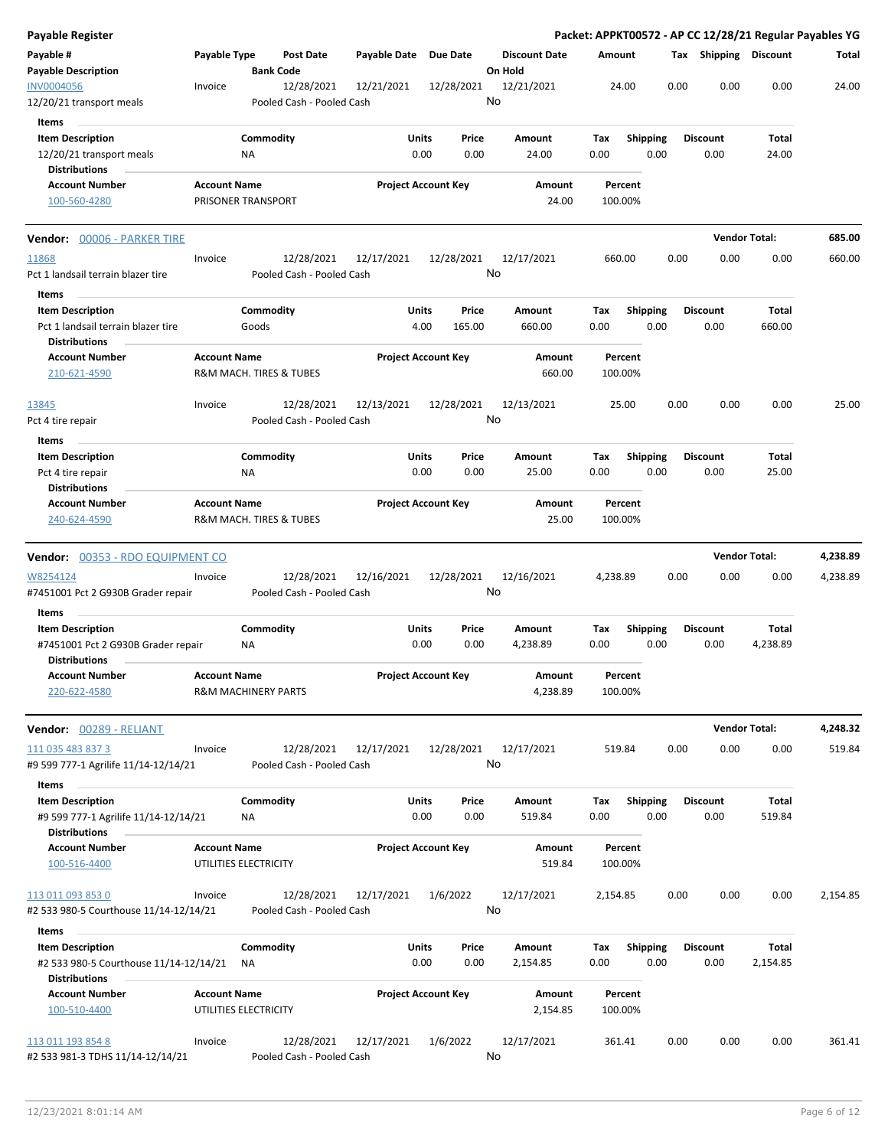| Payable Register                              |                                              |                  |                                         |                       |                            |                                 |                    |                         |      |                       | Packet: APPKT00572 - AP CC 12/28/21 Regular Payables YG |          |
|-----------------------------------------------|----------------------------------------------|------------------|-----------------------------------------|-----------------------|----------------------------|---------------------------------|--------------------|-------------------------|------|-----------------------|---------------------------------------------------------|----------|
| Payable #<br><b>Payable Description</b>       | Payable Type                                 | <b>Bank Code</b> | <b>Post Date</b>                        | Payable Date Due Date |                            | <b>Discount Date</b><br>On Hold | Amount             |                         |      | Tax Shipping Discount |                                                         | Total    |
| <b>INV0004056</b><br>12/20/21 transport meals | Invoice                                      |                  | 12/28/2021<br>Pooled Cash - Pooled Cash | 12/21/2021            | 12/28/2021                 | 12/21/2021<br>No                | 24.00              |                         | 0.00 | 0.00                  | 0.00                                                    | 24.00    |
| <b>Items</b>                                  |                                              |                  |                                         |                       |                            |                                 |                    |                         |      |                       |                                                         |          |
| <b>Item Description</b>                       |                                              | Commodity        |                                         | Units                 | Price                      | Amount                          | Tax                | <b>Shipping</b>         |      | <b>Discount</b>       | Total                                                   |          |
| 12/20/21 transport meals                      |                                              | ΝA               |                                         | 0.00                  | 0.00                       | 24.00                           | 0.00               | 0.00                    |      | 0.00                  | 24.00                                                   |          |
| <b>Distributions</b>                          |                                              |                  |                                         |                       |                            |                                 |                    |                         |      |                       |                                                         |          |
| <b>Account Number</b>                         | <b>Account Name</b>                          |                  |                                         |                       | <b>Project Account Key</b> | Amount                          | Percent            |                         |      |                       |                                                         |          |
| 100-560-4280                                  | PRISONER TRANSPORT                           |                  |                                         |                       |                            | 24.00                           | 100.00%            |                         |      |                       |                                                         |          |
| Vendor: 00006 - PARKER TIRE                   |                                              |                  |                                         |                       |                            |                                 |                    |                         |      |                       | <b>Vendor Total:</b>                                    | 685.00   |
| 11868                                         | Invoice                                      |                  | 12/28/2021                              | 12/17/2021            | 12/28/2021                 | 12/17/2021                      | 660.00             |                         | 0.00 | 0.00                  | 0.00                                                    | 660.00   |
| Pct 1 landsail terrain blazer tire            |                                              |                  | Pooled Cash - Pooled Cash               |                       |                            | No                              |                    |                         |      |                       |                                                         |          |
| Items                                         |                                              |                  |                                         |                       |                            |                                 |                    |                         |      |                       |                                                         |          |
| <b>Item Description</b>                       |                                              | Commodity        |                                         | Units                 | Price                      | Amount                          | Tax                | <b>Shipping</b>         |      | <b>Discount</b>       | Total                                                   |          |
| Pct 1 landsail terrain blazer tire            |                                              | Goods            |                                         | 4.00                  | 165.00                     | 660.00                          | 0.00               | 0.00                    |      | 0.00                  | 660.00                                                  |          |
| <b>Distributions</b>                          |                                              |                  |                                         |                       |                            |                                 |                    |                         |      |                       |                                                         |          |
| <b>Account Number</b>                         | <b>Account Name</b>                          |                  |                                         |                       | <b>Project Account Key</b> | Amount                          | Percent            |                         |      |                       |                                                         |          |
| 210-621-4590                                  | R&M MACH. TIRES & TUBES                      |                  |                                         |                       |                            | 660.00                          | 100.00%            |                         |      |                       |                                                         |          |
| 13845                                         | Invoice                                      |                  | 12/28/2021                              | 12/13/2021            | 12/28/2021                 | 12/13/2021                      | 25.00              |                         | 0.00 | 0.00                  | 0.00                                                    | 25.00    |
| Pct 4 tire repair                             |                                              |                  | Pooled Cash - Pooled Cash               |                       |                            | No                              |                    |                         |      |                       |                                                         |          |
|                                               |                                              |                  |                                         |                       |                            |                                 |                    |                         |      |                       |                                                         |          |
| Items<br><b>Item Description</b>              |                                              | Commodity        |                                         | Units                 | Price                      | Amount                          | Tax                |                         |      | <b>Discount</b>       | Total                                                   |          |
| Pct 4 tire repair                             |                                              | ΝA               |                                         | 0.00                  | 0.00                       | 25.00                           | 0.00               | <b>Shipping</b><br>0.00 |      | 0.00                  | 25.00                                                   |          |
| <b>Distributions</b>                          |                                              |                  |                                         |                       |                            |                                 |                    |                         |      |                       |                                                         |          |
| <b>Account Number</b>                         | <b>Account Name</b>                          |                  |                                         |                       | <b>Project Account Key</b> | Amount                          | Percent            |                         |      |                       |                                                         |          |
| 240-624-4590                                  | R&M MACH. TIRES & TUBES                      |                  |                                         |                       |                            | 25.00                           | 100.00%            |                         |      |                       |                                                         |          |
|                                               |                                              |                  |                                         |                       |                            |                                 |                    |                         |      |                       |                                                         |          |
| <b>Vendor:</b> 00353 - RDO EQUIPMENT CO       |                                              |                  |                                         |                       |                            |                                 |                    |                         |      |                       | <b>Vendor Total:</b>                                    | 4,238.89 |
| W8254124                                      | Invoice                                      |                  | 12/28/2021                              | 12/16/2021            | 12/28/2021                 | 12/16/2021                      | 4,238.89           |                         | 0.00 | 0.00                  | 0.00                                                    | 4,238.89 |
| #7451001 Pct 2 G930B Grader repair            |                                              |                  | Pooled Cash - Pooled Cash               |                       |                            | No                              |                    |                         |      |                       |                                                         |          |
| Items                                         |                                              |                  |                                         |                       |                            |                                 |                    |                         |      |                       |                                                         |          |
| <b>Item Description</b>                       |                                              | Commodity        |                                         | Units                 | Price                      | Amount                          | Тах                | <b>Shipping</b>         |      | <b>Discount</b>       | Total                                                   |          |
| #7451001 Pct 2 G930B Grader repair            |                                              | ΝA               |                                         | 0.00                  | 0.00                       | 4,238.89                        | 0.00               | 0.00                    |      | 0.00                  | 4,238.89                                                |          |
| <b>Distributions</b>                          |                                              |                  |                                         |                       |                            |                                 |                    |                         |      |                       |                                                         |          |
| <b>Account Number</b>                         | <b>Account Name</b>                          |                  |                                         |                       | <b>Project Account Key</b> | Amount                          | Percent            |                         |      |                       |                                                         |          |
| 220-622-4580                                  | <b>R&amp;M MACHINERY PARTS</b>               |                  |                                         |                       |                            | 4,238.89                        | 100.00%            |                         |      |                       |                                                         |          |
| Vendor: 00289 - RELIANT                       |                                              |                  |                                         |                       |                            |                                 |                    |                         |      |                       | <b>Vendor Total:</b>                                    | 4,248.32 |
| 111 035 483 837 3                             | Invoice                                      |                  | 12/28/2021                              | 12/17/2021            | 12/28/2021                 | 12/17/2021                      | 519.84             |                         | 0.00 | 0.00                  | 0.00                                                    | 519.84   |
| #9 599 777-1 Agrilife 11/14-12/14/21          |                                              |                  | Pooled Cash - Pooled Cash               |                       |                            | No                              |                    |                         |      |                       |                                                         |          |
| Items                                         |                                              |                  |                                         |                       |                            |                                 |                    |                         |      |                       |                                                         |          |
| <b>Item Description</b>                       |                                              | Commodity        |                                         | Units                 | Price                      | Amount                          | Тах                | Shipping                |      | <b>Discount</b>       | Total                                                   |          |
| #9 599 777-1 Agrilife 11/14-12/14/21          |                                              | ΝA               |                                         | 0.00                  | 0.00                       | 519.84                          | 0.00               | 0.00                    |      | 0.00                  | 519.84                                                  |          |
| Distributions                                 |                                              |                  |                                         |                       |                            |                                 |                    |                         |      |                       |                                                         |          |
| <b>Account Number</b>                         | <b>Account Name</b>                          |                  |                                         |                       | <b>Project Account Key</b> | Amount                          | Percent            |                         |      |                       |                                                         |          |
| 100-516-4400                                  | UTILITIES ELECTRICITY                        |                  |                                         |                       |                            | 519.84                          | 100.00%            |                         |      |                       |                                                         |          |
| 113 011 093 853 0                             | Invoice                                      |                  | 12/28/2021                              | 12/17/2021            | 1/6/2022                   | 12/17/2021                      | 2,154.85           |                         | 0.00 | 0.00                  | 0.00                                                    | 2,154.85 |
| #2 533 980-5 Courthouse 11/14-12/14/21        |                                              |                  | Pooled Cash - Pooled Cash               |                       |                            | No                              |                    |                         |      |                       |                                                         |          |
| Items                                         |                                              |                  |                                         |                       |                            |                                 |                    |                         |      |                       |                                                         |          |
| <b>Item Description</b>                       |                                              | Commodity        |                                         | Units                 | Price                      | Amount                          | Tax                | <b>Shipping</b>         |      | <b>Discount</b>       | Total                                                   |          |
| #2 533 980-5 Courthouse 11/14-12/14/21        |                                              | ΝA               |                                         | 0.00                  | 0.00                       | 2,154.85                        | 0.00               | 0.00                    |      | 0.00                  | 2,154.85                                                |          |
| <b>Distributions</b>                          |                                              |                  |                                         |                       |                            |                                 |                    |                         |      |                       |                                                         |          |
| <b>Account Number</b><br>100-510-4400         | <b>Account Name</b><br>UTILITIES ELECTRICITY |                  |                                         |                       | <b>Project Account Key</b> | Amount<br>2,154.85              | Percent<br>100.00% |                         |      |                       |                                                         |          |
| 113 011 193 854 8                             | Invoice                                      |                  | 12/28/2021                              | 12/17/2021            | 1/6/2022                   | 12/17/2021                      | 361.41             |                         | 0.00 | 0.00                  | 0.00                                                    | 361.41   |
| #2 533 981-3 TDHS 11/14-12/14/21              |                                              |                  | Pooled Cash - Pooled Cash               |                       |                            | No                              |                    |                         |      |                       |                                                         |          |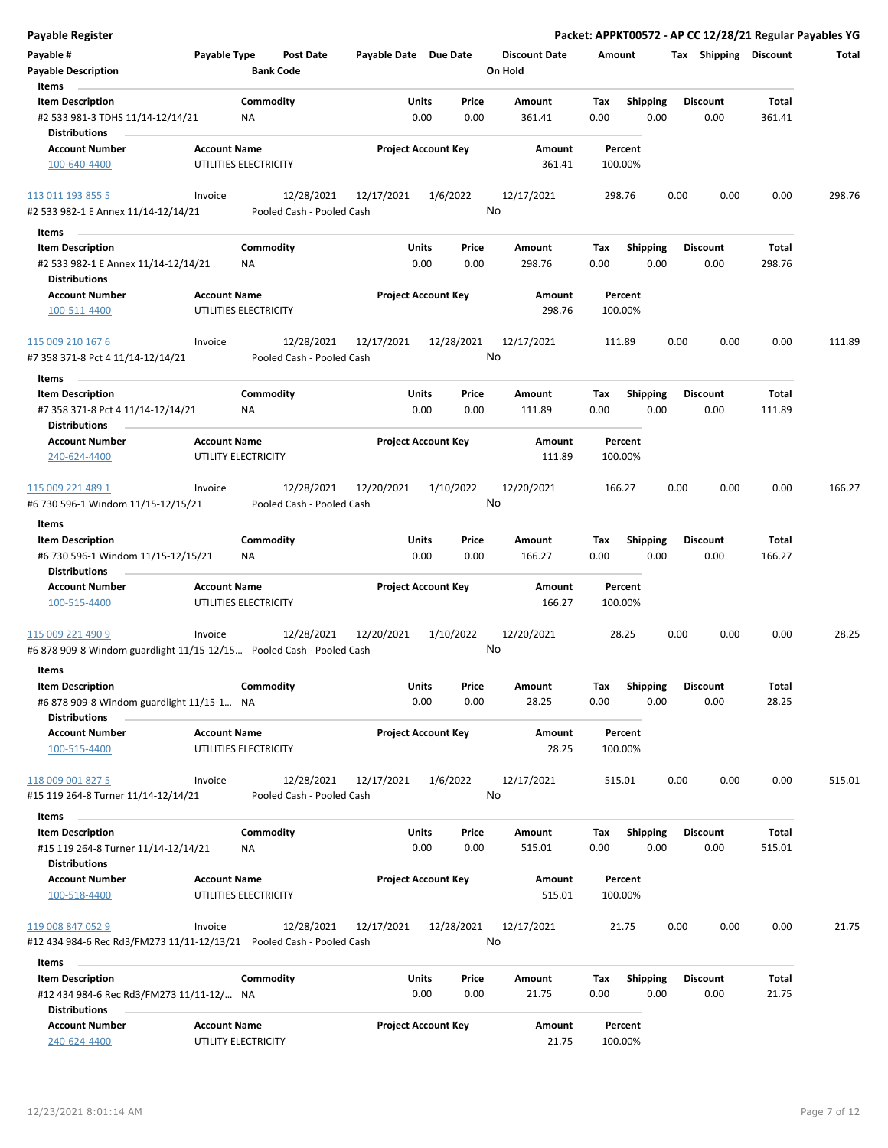| <b>Payable Register</b>                                                 |                     |                           |                       |                            |                      | Packet: APPKT00572 - AP CC 12/28/21 Regular Payables YG |                 |      |                       |        |        |
|-------------------------------------------------------------------------|---------------------|---------------------------|-----------------------|----------------------------|----------------------|---------------------------------------------------------|-----------------|------|-----------------------|--------|--------|
| Payable #                                                               | Payable Type        | Post Date                 | Payable Date Due Date |                            | <b>Discount Date</b> | Amount                                                  |                 |      | Tax Shipping Discount |        | Total  |
| <b>Payable Description</b>                                              |                     | <b>Bank Code</b>          |                       |                            | On Hold              |                                                         |                 |      |                       |        |        |
| Items                                                                   |                     |                           |                       |                            |                      |                                                         |                 |      |                       |        |        |
| <b>Item Description</b>                                                 |                     | Commodity                 | Units                 | Price                      | <b>Amount</b>        | Tax                                                     | <b>Shipping</b> |      | <b>Discount</b>       | Total  |        |
| #2 533 981-3 TDHS 11/14-12/14/21                                        |                     | <b>NA</b>                 |                       | 0.00<br>0.00               | 361.41               | 0.00                                                    | 0.00            |      | 0.00                  | 361.41 |        |
| <b>Distributions</b>                                                    |                     |                           |                       |                            |                      |                                                         |                 |      |                       |        |        |
| <b>Account Number</b>                                                   | <b>Account Name</b> |                           |                       | <b>Project Account Key</b> | Amount               | Percent                                                 |                 |      |                       |        |        |
| 100-640-4400                                                            |                     | UTILITIES ELECTRICITY     |                       |                            | 361.41               | 100.00%                                                 |                 |      |                       |        |        |
|                                                                         |                     |                           |                       |                            |                      |                                                         |                 |      |                       |        |        |
| 113 011 193 855 5                                                       | Invoice             | 12/28/2021                | 12/17/2021            | 1/6/2022                   | 12/17/2021           | 298.76                                                  |                 | 0.00 | 0.00                  | 0.00   | 298.76 |
| #2 533 982-1 E Annex 11/14-12/14/21                                     |                     | Pooled Cash - Pooled Cash |                       |                            | No                   |                                                         |                 |      |                       |        |        |
|                                                                         |                     |                           |                       |                            |                      |                                                         |                 |      |                       |        |        |
| Items                                                                   |                     |                           |                       |                            |                      |                                                         |                 |      |                       |        |        |
| <b>Item Description</b>                                                 |                     | Commodity                 | Units                 | Price                      | Amount               | Tax                                                     | <b>Shipping</b> |      | <b>Discount</b>       | Total  |        |
| #2 533 982-1 E Annex 11/14-12/14/21                                     |                     | ΝA                        |                       | 0.00<br>0.00               | 298.76               | 0.00                                                    | 0.00            |      | 0.00                  | 298.76 |        |
| <b>Distributions</b>                                                    |                     |                           |                       |                            |                      |                                                         |                 |      |                       |        |        |
| <b>Account Number</b>                                                   | <b>Account Name</b> |                           |                       | <b>Project Account Key</b> | Amount               | Percent                                                 |                 |      |                       |        |        |
| 100-511-4400                                                            |                     | UTILITIES ELECTRICITY     |                       |                            | 298.76               | 100.00%                                                 |                 |      |                       |        |        |
|                                                                         |                     |                           |                       |                            |                      |                                                         |                 |      |                       |        |        |
| 115 009 210 167 6                                                       | Invoice             | 12/28/2021                | 12/17/2021            | 12/28/2021                 | 12/17/2021           | 111.89                                                  |                 | 0.00 | 0.00                  | 0.00   | 111.89 |
| #7 358 371-8 Pct 4 11/14-12/14/21                                       |                     | Pooled Cash - Pooled Cash |                       |                            | No                   |                                                         |                 |      |                       |        |        |
| Items                                                                   |                     |                           |                       |                            |                      |                                                         |                 |      |                       |        |        |
| <b>Item Description</b>                                                 |                     | Commodity                 | Units                 | Price                      | Amount               | Tax                                                     | <b>Shipping</b> |      | <b>Discount</b>       | Total  |        |
| #7 358 371-8 Pct 4 11/14-12/14/21                                       |                     | ΝA                        |                       | 0.00<br>0.00               | 111.89               | 0.00                                                    | 0.00            |      | 0.00                  | 111.89 |        |
| Distributions                                                           |                     |                           |                       |                            |                      |                                                         |                 |      |                       |        |        |
| <b>Account Number</b>                                                   | <b>Account Name</b> |                           |                       | <b>Project Account Key</b> | Amount               | Percent                                                 |                 |      |                       |        |        |
| 240-624-4400                                                            |                     | UTILITY ELECTRICITY       |                       |                            | 111.89               | 100.00%                                                 |                 |      |                       |        |        |
|                                                                         |                     |                           |                       |                            |                      |                                                         |                 |      |                       |        |        |
| 115 009 221 489 1                                                       | Invoice             | 12/28/2021                | 12/20/2021            | 1/10/2022                  | 12/20/2021           | 166.27                                                  |                 | 0.00 | 0.00                  | 0.00   | 166.27 |
|                                                                         |                     | Pooled Cash - Pooled Cash |                       |                            | No                   |                                                         |                 |      |                       |        |        |
| #6 730 596-1 Windom 11/15-12/15/21                                      |                     |                           |                       |                            |                      |                                                         |                 |      |                       |        |        |
| Items                                                                   |                     |                           |                       |                            |                      |                                                         |                 |      |                       |        |        |
| <b>Item Description</b>                                                 |                     | Commodity                 | Units                 | Price                      | Amount               | Tax                                                     | <b>Shipping</b> |      | <b>Discount</b>       | Total  |        |
| #6 730 596-1 Windom 11/15-12/15/21                                      |                     | NA                        |                       | 0.00<br>0.00               | 166.27               | 0.00                                                    | 0.00            |      | 0.00                  | 166.27 |        |
| <b>Distributions</b>                                                    |                     |                           |                       |                            |                      |                                                         |                 |      |                       |        |        |
| <b>Account Number</b>                                                   | <b>Account Name</b> |                           |                       | <b>Project Account Key</b> | Amount               | Percent                                                 |                 |      |                       |        |        |
| 100-515-4400                                                            |                     | UTILITIES ELECTRICITY     |                       |                            | 166.27               | 100.00%                                                 |                 |      |                       |        |        |
|                                                                         |                     |                           |                       |                            |                      |                                                         |                 |      |                       |        |        |
| 115 009 221 490 9                                                       | Invoice             | 12/28/2021                | 12/20/2021            | 1/10/2022                  | 12/20/2021           | 28.25                                                   |                 | 0.00 | 0.00                  | 0.00   | 28.25  |
| #6 878 909-8 Windom guardlight 11/15-12/15 Pooled Cash - Pooled Cash    |                     |                           |                       |                            | No                   |                                                         |                 |      |                       |        |        |
| Items                                                                   |                     |                           |                       |                            |                      |                                                         |                 |      |                       |        |        |
| <b>Item Description</b>                                                 |                     | Commodity                 | Units                 | Price                      | Amount               | Tax                                                     | Shipping        |      | <b>Discount</b>       | Total  |        |
| #6 878 909-8 Windom guardlight 11/15-1 NA                               |                     |                           |                       | 0.00<br>0.00               | 28.25                | 0.00                                                    | 0.00            |      | 0.00                  | 28.25  |        |
| <b>Distributions</b>                                                    |                     |                           |                       |                            |                      |                                                         |                 |      |                       |        |        |
| Account Number                                                          | <b>Account Name</b> |                           |                       | <b>Project Account Key</b> | Amount               | Percent                                                 |                 |      |                       |        |        |
| 100-515-4400                                                            |                     | UTILITIES ELECTRICITY     |                       |                            | 28.25                | 100.00%                                                 |                 |      |                       |        |        |
|                                                                         |                     |                           |                       |                            |                      |                                                         |                 |      |                       |        |        |
| 118 009 001 827 5                                                       | Invoice             | 12/28/2021                | 12/17/2021            | 1/6/2022                   | 12/17/2021           | 515.01                                                  |                 | 0.00 | 0.00                  | 0.00   | 515.01 |
| #15 119 264-8 Turner 11/14-12/14/21                                     |                     | Pooled Cash - Pooled Cash |                       |                            | No                   |                                                         |                 |      |                       |        |        |
|                                                                         |                     |                           |                       |                            |                      |                                                         |                 |      |                       |        |        |
| Items                                                                   |                     |                           |                       |                            |                      |                                                         |                 |      |                       |        |        |
| <b>Item Description</b>                                                 |                     | Commodity                 | Units                 | Price                      | Amount               | Tax                                                     | <b>Shipping</b> |      | <b>Discount</b>       | Total  |        |
| #15 119 264-8 Turner 11/14-12/14/21                                     |                     | NA                        |                       | 0.00<br>0.00               | 515.01               | 0.00                                                    | 0.00            |      | 0.00                  | 515.01 |        |
| <b>Distributions</b>                                                    |                     |                           |                       |                            |                      |                                                         |                 |      |                       |        |        |
| <b>Account Number</b>                                                   | <b>Account Name</b> |                           |                       | <b>Project Account Key</b> | Amount               | Percent                                                 |                 |      |                       |        |        |
| 100-518-4400                                                            |                     | UTILITIES ELECTRICITY     |                       |                            | 515.01               | 100.00%                                                 |                 |      |                       |        |        |
|                                                                         |                     |                           |                       |                            |                      |                                                         |                 |      |                       |        |        |
| 119 008 847 052 9                                                       | Invoice             | 12/28/2021                | 12/17/2021            | 12/28/2021                 | 12/17/2021           | 21.75                                                   |                 | 0.00 | 0.00                  | 0.00   | 21.75  |
| #12 434 984-6 Rec Rd3/FM273 11/11-12/13/21    Pooled Cash - Pooled Cash |                     |                           |                       |                            | No                   |                                                         |                 |      |                       |        |        |
| Items                                                                   |                     |                           |                       |                            |                      |                                                         |                 |      |                       |        |        |
| <b>Item Description</b>                                                 |                     | Commodity                 | Units                 | Price                      | Amount               | Tax                                                     | <b>Shipping</b> |      | <b>Discount</b>       | Total  |        |
| #12 434 984-6 Rec Rd3/FM273 11/11-12/ NA                                |                     |                           |                       | 0.00<br>0.00               | 21.75                | 0.00                                                    | 0.00            |      | 0.00                  | 21.75  |        |
| <b>Distributions</b>                                                    |                     |                           |                       |                            |                      |                                                         |                 |      |                       |        |        |
| <b>Account Number</b>                                                   | <b>Account Name</b> |                           |                       | <b>Project Account Key</b> | Amount               | Percent                                                 |                 |      |                       |        |        |
| 240-624-4400                                                            |                     | UTILITY ELECTRICITY       |                       |                            | 21.75                | 100.00%                                                 |                 |      |                       |        |        |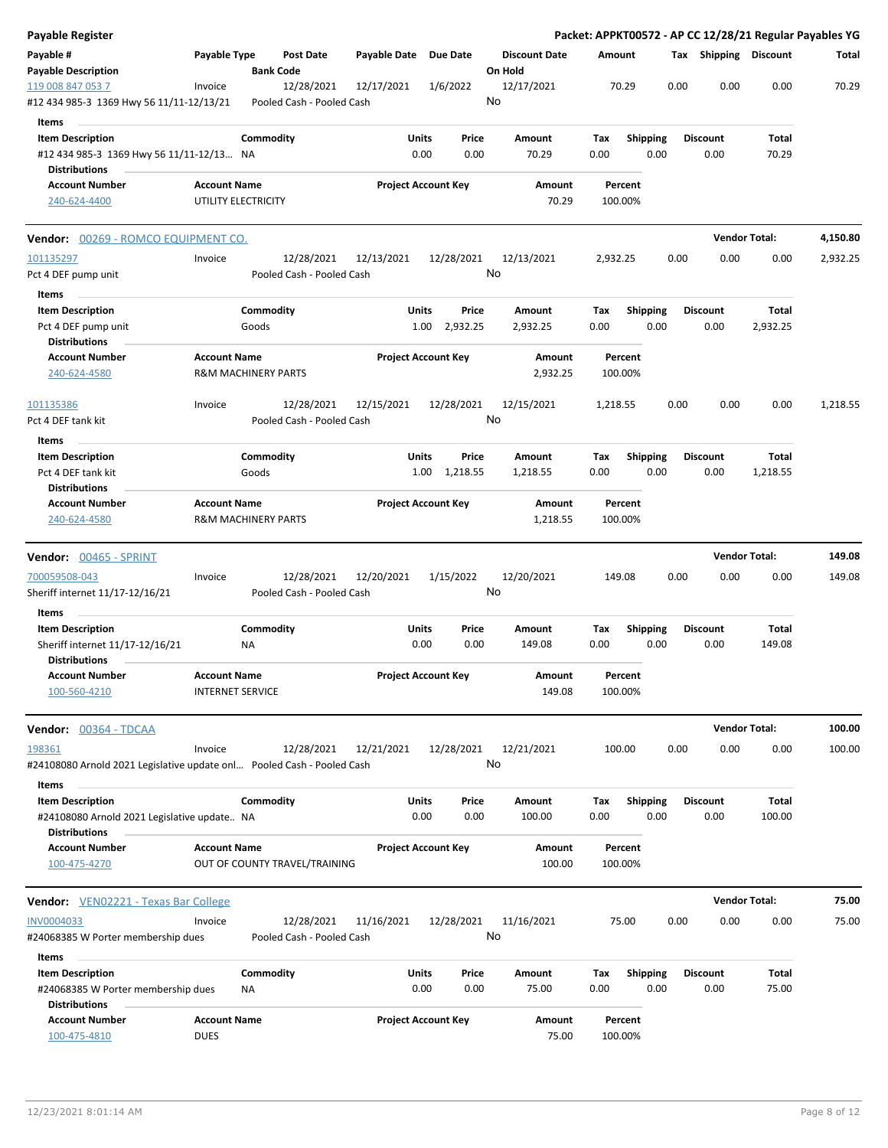| Payable #<br>Payable Type<br><b>Post Date</b><br>Payable Date Due Date<br><b>Discount Date</b><br>Tax Shipping Discount<br>Amount<br>Total<br><b>Bank Code</b><br>On Hold<br><b>Payable Description</b><br>12/28/2021<br>70.29<br>0.00<br>0.00<br>0.00<br>70.29<br>119 008 847 053 7<br>12/17/2021<br>1/6/2022<br>12/17/2021<br>Invoice<br>No<br>#12 434 985-3 1369 Hwy 56 11/11-12/13/21<br>Pooled Cash - Pooled Cash<br>Items<br><b>Item Description</b><br>Commodity<br>Units<br>Price<br>Amount<br>Tax<br><b>Shipping</b><br><b>Discount</b><br>Total<br>0.00<br>0.00<br>70.29<br>#12 434 985-3 1369 Hwy 56 11/11-12/13 NA<br>0.00<br>70.29<br>0.00<br>0.00<br><b>Distributions</b><br><b>Project Account Key</b><br><b>Account Number</b><br><b>Account Name</b><br>Amount<br>Percent<br>240-624-4400<br>UTILITY ELECTRICITY<br>70.29<br>100.00%<br><b>Vendor Total:</b><br>4,150.80<br>Vendor: 00269 - ROMCO EQUIPMENT CO.<br>12/28/2021<br>12/13/2021<br>12/28/2021<br>12/13/2021<br>2,932.25<br>0.00<br>0.00<br>0.00<br>2,932.25<br>101135297<br>Invoice<br>No<br>Pooled Cash - Pooled Cash<br>Pct 4 DEF pump unit<br>Items<br>Commodity<br>Units<br><b>Item Description</b><br>Price<br>Amount<br>Tax<br><b>Shipping</b><br><b>Discount</b><br>Total<br>Goods<br>2,932.25<br>0.00<br>0.00<br>0.00<br>2,932.25<br>Pct 4 DEF pump unit<br>1.00<br>2,932.25<br>Distributions<br><b>Account Name</b><br><b>Project Account Key</b><br><b>Account Number</b><br>Amount<br>Percent<br>240-624-4580<br>2,932.25<br><b>R&amp;M MACHINERY PARTS</b><br>100.00%<br>12/28/2021<br>12/15/2021<br>12/28/2021<br>12/15/2021<br>0.00<br>1,218.55<br>101135386<br>Invoice<br>1,218.55<br>0.00<br>0.00<br>No<br>Pooled Cash - Pooled Cash<br>Pct 4 DEF tank kit<br>Items<br>Commodity<br><b>Item Description</b><br>Units<br>Price<br>Amount<br>Tax<br><b>Shipping</b><br><b>Discount</b><br>Total<br>Pct 4 DEF tank kit<br>Goods<br>1.00 1,218.55<br>0.00<br>0.00<br>0.00<br>1,218.55<br>1,218.55<br><b>Distributions</b><br><b>Account Name</b><br><b>Project Account Key</b><br><b>Account Number</b><br>Amount<br>Percent<br><b>R&amp;M MACHINERY PARTS</b><br>240-624-4580<br>1,218.55<br>100.00%<br><b>Vendor Total:</b><br>149.08<br><b>Vendor: 00465 - SPRINT</b><br>700059508-043<br>12/28/2021<br>12/20/2021<br>1/15/2022<br>12/20/2021<br>0.00<br>0.00<br>0.00<br>149.08<br>Invoice<br>149.08<br>No<br>Sheriff internet 11/17-12/16/21<br>Pooled Cash - Pooled Cash<br>Items<br>Commodity<br><b>Item Description</b><br>Units<br>Price<br>Amount<br>Tax<br><b>Shipping</b><br><b>Discount</b><br>Total<br>0.00<br>0.00<br>0.00<br>Sheriff internet 11/17-12/16/21<br>NA<br>149.08<br>0.00<br>0.00<br>149.08<br><b>Distributions</b><br><b>Account Number</b><br><b>Account Name</b><br><b>Project Account Key</b><br>Amount<br>Percent<br>100-560-4210<br><b>INTERNET SERVICE</b><br>149.08<br>100.00%<br><b>Vendor Total:</b><br>100.00<br>Vendor: 00364 - TDCAA<br>12/28/2021<br>Invoice<br>12/21/2021<br>12/28/2021<br>12/21/2021<br>100.00<br>0.00<br>0.00<br>0.00<br>100.00<br>198361<br>No<br>#24108080 Arnold 2021 Legislative update onl Pooled Cash - Pooled Cash<br>Items<br>Commodity<br><b>Item Description</b><br><b>Units</b><br><b>Shipping</b><br><b>Discount</b><br>Total<br>Price<br>Amount<br>Tax<br>0.00<br>0.00<br>100.00<br>0.00<br>0.00<br>0.00<br>100.00<br>#24108080 Arnold 2021 Legislative update NA<br><b>Distributions</b><br><b>Account Number</b><br><b>Account Name</b><br><b>Project Account Key</b><br>Amount<br>Percent<br>100-475-4270<br>OUT OF COUNTY TRAVEL/TRAINING<br>100.00<br>100.00%<br><b>Vendor Total:</b><br>75.00<br><b>Vendor:</b> VEN02221 - Texas Bar College<br>12/28/2021<br>75.00<br>0.00<br>0.00<br>0.00<br>75.00<br>INV0004033<br>11/16/2021<br>12/28/2021<br>11/16/2021<br>Invoice<br>No<br>#24068385 W Porter membership dues<br>Pooled Cash - Pooled Cash<br>Items<br>Commodity<br>Units<br>Price<br><b>Shipping</b><br><b>Discount</b><br>Total<br><b>Item Description</b><br>Amount<br>Тах<br>0.00<br>0.00<br>75.00<br>#24068385 W Porter membership dues<br>0.00<br>75.00<br>0.00<br>0.00<br>ΝA<br><b>Distributions</b><br><b>Account Number</b><br><b>Account Name</b><br><b>Project Account Key</b><br>Amount<br>Percent<br><b>DUES</b><br>100-475-4810<br>75.00<br>100.00% | <b>Payable Register</b> |  |  |  |  |  | Packet: APPKT00572 - AP CC 12/28/21 Regular Payables YG |  |
|------------------------------------------------------------------------------------------------------------------------------------------------------------------------------------------------------------------------------------------------------------------------------------------------------------------------------------------------------------------------------------------------------------------------------------------------------------------------------------------------------------------------------------------------------------------------------------------------------------------------------------------------------------------------------------------------------------------------------------------------------------------------------------------------------------------------------------------------------------------------------------------------------------------------------------------------------------------------------------------------------------------------------------------------------------------------------------------------------------------------------------------------------------------------------------------------------------------------------------------------------------------------------------------------------------------------------------------------------------------------------------------------------------------------------------------------------------------------------------------------------------------------------------------------------------------------------------------------------------------------------------------------------------------------------------------------------------------------------------------------------------------------------------------------------------------------------------------------------------------------------------------------------------------------------------------------------------------------------------------------------------------------------------------------------------------------------------------------------------------------------------------------------------------------------------------------------------------------------------------------------------------------------------------------------------------------------------------------------------------------------------------------------------------------------------------------------------------------------------------------------------------------------------------------------------------------------------------------------------------------------------------------------------------------------------------------------------------------------------------------------------------------------------------------------------------------------------------------------------------------------------------------------------------------------------------------------------------------------------------------------------------------------------------------------------------------------------------------------------------------------------------------------------------------------------------------------------------------------------------------------------------------------------------------------------------------------------------------------------------------------------------------------------------------------------------------------------------------------------------------------------------------------------------------------------------------------------------------------------------------------------------------------------------------------------------------------------------------------------------------------------------------------------------------------------------------------------------------------------------------------------------------------------------------------------------------------------------------------------------------------------------------------------------------------------------------------------------------------------------------------------------------------------------------------------------------------------------------------------------------------------------------------------------------------------------------------------------------|-------------------------|--|--|--|--|--|---------------------------------------------------------|--|
|                                                                                                                                                                                                                                                                                                                                                                                                                                                                                                                                                                                                                                                                                                                                                                                                                                                                                                                                                                                                                                                                                                                                                                                                                                                                                                                                                                                                                                                                                                                                                                                                                                                                                                                                                                                                                                                                                                                                                                                                                                                                                                                                                                                                                                                                                                                                                                                                                                                                                                                                                                                                                                                                                                                                                                                                                                                                                                                                                                                                                                                                                                                                                                                                                                                                                                                                                                                                                                                                                                                                                                                                                                                                                                                                                                                                                                                                                                                                                                                                                                                                                                                                                                                                                                                                                                                                                |                         |  |  |  |  |  |                                                         |  |
|                                                                                                                                                                                                                                                                                                                                                                                                                                                                                                                                                                                                                                                                                                                                                                                                                                                                                                                                                                                                                                                                                                                                                                                                                                                                                                                                                                                                                                                                                                                                                                                                                                                                                                                                                                                                                                                                                                                                                                                                                                                                                                                                                                                                                                                                                                                                                                                                                                                                                                                                                                                                                                                                                                                                                                                                                                                                                                                                                                                                                                                                                                                                                                                                                                                                                                                                                                                                                                                                                                                                                                                                                                                                                                                                                                                                                                                                                                                                                                                                                                                                                                                                                                                                                                                                                                                                                |                         |  |  |  |  |  |                                                         |  |
|                                                                                                                                                                                                                                                                                                                                                                                                                                                                                                                                                                                                                                                                                                                                                                                                                                                                                                                                                                                                                                                                                                                                                                                                                                                                                                                                                                                                                                                                                                                                                                                                                                                                                                                                                                                                                                                                                                                                                                                                                                                                                                                                                                                                                                                                                                                                                                                                                                                                                                                                                                                                                                                                                                                                                                                                                                                                                                                                                                                                                                                                                                                                                                                                                                                                                                                                                                                                                                                                                                                                                                                                                                                                                                                                                                                                                                                                                                                                                                                                                                                                                                                                                                                                                                                                                                                                                |                         |  |  |  |  |  |                                                         |  |
|                                                                                                                                                                                                                                                                                                                                                                                                                                                                                                                                                                                                                                                                                                                                                                                                                                                                                                                                                                                                                                                                                                                                                                                                                                                                                                                                                                                                                                                                                                                                                                                                                                                                                                                                                                                                                                                                                                                                                                                                                                                                                                                                                                                                                                                                                                                                                                                                                                                                                                                                                                                                                                                                                                                                                                                                                                                                                                                                                                                                                                                                                                                                                                                                                                                                                                                                                                                                                                                                                                                                                                                                                                                                                                                                                                                                                                                                                                                                                                                                                                                                                                                                                                                                                                                                                                                                                |                         |  |  |  |  |  |                                                         |  |
|                                                                                                                                                                                                                                                                                                                                                                                                                                                                                                                                                                                                                                                                                                                                                                                                                                                                                                                                                                                                                                                                                                                                                                                                                                                                                                                                                                                                                                                                                                                                                                                                                                                                                                                                                                                                                                                                                                                                                                                                                                                                                                                                                                                                                                                                                                                                                                                                                                                                                                                                                                                                                                                                                                                                                                                                                                                                                                                                                                                                                                                                                                                                                                                                                                                                                                                                                                                                                                                                                                                                                                                                                                                                                                                                                                                                                                                                                                                                                                                                                                                                                                                                                                                                                                                                                                                                                |                         |  |  |  |  |  |                                                         |  |
|                                                                                                                                                                                                                                                                                                                                                                                                                                                                                                                                                                                                                                                                                                                                                                                                                                                                                                                                                                                                                                                                                                                                                                                                                                                                                                                                                                                                                                                                                                                                                                                                                                                                                                                                                                                                                                                                                                                                                                                                                                                                                                                                                                                                                                                                                                                                                                                                                                                                                                                                                                                                                                                                                                                                                                                                                                                                                                                                                                                                                                                                                                                                                                                                                                                                                                                                                                                                                                                                                                                                                                                                                                                                                                                                                                                                                                                                                                                                                                                                                                                                                                                                                                                                                                                                                                                                                |                         |  |  |  |  |  |                                                         |  |
|                                                                                                                                                                                                                                                                                                                                                                                                                                                                                                                                                                                                                                                                                                                                                                                                                                                                                                                                                                                                                                                                                                                                                                                                                                                                                                                                                                                                                                                                                                                                                                                                                                                                                                                                                                                                                                                                                                                                                                                                                                                                                                                                                                                                                                                                                                                                                                                                                                                                                                                                                                                                                                                                                                                                                                                                                                                                                                                                                                                                                                                                                                                                                                                                                                                                                                                                                                                                                                                                                                                                                                                                                                                                                                                                                                                                                                                                                                                                                                                                                                                                                                                                                                                                                                                                                                                                                |                         |  |  |  |  |  |                                                         |  |
|                                                                                                                                                                                                                                                                                                                                                                                                                                                                                                                                                                                                                                                                                                                                                                                                                                                                                                                                                                                                                                                                                                                                                                                                                                                                                                                                                                                                                                                                                                                                                                                                                                                                                                                                                                                                                                                                                                                                                                                                                                                                                                                                                                                                                                                                                                                                                                                                                                                                                                                                                                                                                                                                                                                                                                                                                                                                                                                                                                                                                                                                                                                                                                                                                                                                                                                                                                                                                                                                                                                                                                                                                                                                                                                                                                                                                                                                                                                                                                                                                                                                                                                                                                                                                                                                                                                                                |                         |  |  |  |  |  |                                                         |  |
|                                                                                                                                                                                                                                                                                                                                                                                                                                                                                                                                                                                                                                                                                                                                                                                                                                                                                                                                                                                                                                                                                                                                                                                                                                                                                                                                                                                                                                                                                                                                                                                                                                                                                                                                                                                                                                                                                                                                                                                                                                                                                                                                                                                                                                                                                                                                                                                                                                                                                                                                                                                                                                                                                                                                                                                                                                                                                                                                                                                                                                                                                                                                                                                                                                                                                                                                                                                                                                                                                                                                                                                                                                                                                                                                                                                                                                                                                                                                                                                                                                                                                                                                                                                                                                                                                                                                                |                         |  |  |  |  |  |                                                         |  |
|                                                                                                                                                                                                                                                                                                                                                                                                                                                                                                                                                                                                                                                                                                                                                                                                                                                                                                                                                                                                                                                                                                                                                                                                                                                                                                                                                                                                                                                                                                                                                                                                                                                                                                                                                                                                                                                                                                                                                                                                                                                                                                                                                                                                                                                                                                                                                                                                                                                                                                                                                                                                                                                                                                                                                                                                                                                                                                                                                                                                                                                                                                                                                                                                                                                                                                                                                                                                                                                                                                                                                                                                                                                                                                                                                                                                                                                                                                                                                                                                                                                                                                                                                                                                                                                                                                                                                |                         |  |  |  |  |  |                                                         |  |
|                                                                                                                                                                                                                                                                                                                                                                                                                                                                                                                                                                                                                                                                                                                                                                                                                                                                                                                                                                                                                                                                                                                                                                                                                                                                                                                                                                                                                                                                                                                                                                                                                                                                                                                                                                                                                                                                                                                                                                                                                                                                                                                                                                                                                                                                                                                                                                                                                                                                                                                                                                                                                                                                                                                                                                                                                                                                                                                                                                                                                                                                                                                                                                                                                                                                                                                                                                                                                                                                                                                                                                                                                                                                                                                                                                                                                                                                                                                                                                                                                                                                                                                                                                                                                                                                                                                                                |                         |  |  |  |  |  |                                                         |  |
|                                                                                                                                                                                                                                                                                                                                                                                                                                                                                                                                                                                                                                                                                                                                                                                                                                                                                                                                                                                                                                                                                                                                                                                                                                                                                                                                                                                                                                                                                                                                                                                                                                                                                                                                                                                                                                                                                                                                                                                                                                                                                                                                                                                                                                                                                                                                                                                                                                                                                                                                                                                                                                                                                                                                                                                                                                                                                                                                                                                                                                                                                                                                                                                                                                                                                                                                                                                                                                                                                                                                                                                                                                                                                                                                                                                                                                                                                                                                                                                                                                                                                                                                                                                                                                                                                                                                                |                         |  |  |  |  |  |                                                         |  |
|                                                                                                                                                                                                                                                                                                                                                                                                                                                                                                                                                                                                                                                                                                                                                                                                                                                                                                                                                                                                                                                                                                                                                                                                                                                                                                                                                                                                                                                                                                                                                                                                                                                                                                                                                                                                                                                                                                                                                                                                                                                                                                                                                                                                                                                                                                                                                                                                                                                                                                                                                                                                                                                                                                                                                                                                                                                                                                                                                                                                                                                                                                                                                                                                                                                                                                                                                                                                                                                                                                                                                                                                                                                                                                                                                                                                                                                                                                                                                                                                                                                                                                                                                                                                                                                                                                                                                |                         |  |  |  |  |  |                                                         |  |
|                                                                                                                                                                                                                                                                                                                                                                                                                                                                                                                                                                                                                                                                                                                                                                                                                                                                                                                                                                                                                                                                                                                                                                                                                                                                                                                                                                                                                                                                                                                                                                                                                                                                                                                                                                                                                                                                                                                                                                                                                                                                                                                                                                                                                                                                                                                                                                                                                                                                                                                                                                                                                                                                                                                                                                                                                                                                                                                                                                                                                                                                                                                                                                                                                                                                                                                                                                                                                                                                                                                                                                                                                                                                                                                                                                                                                                                                                                                                                                                                                                                                                                                                                                                                                                                                                                                                                |                         |  |  |  |  |  |                                                         |  |
|                                                                                                                                                                                                                                                                                                                                                                                                                                                                                                                                                                                                                                                                                                                                                                                                                                                                                                                                                                                                                                                                                                                                                                                                                                                                                                                                                                                                                                                                                                                                                                                                                                                                                                                                                                                                                                                                                                                                                                                                                                                                                                                                                                                                                                                                                                                                                                                                                                                                                                                                                                                                                                                                                                                                                                                                                                                                                                                                                                                                                                                                                                                                                                                                                                                                                                                                                                                                                                                                                                                                                                                                                                                                                                                                                                                                                                                                                                                                                                                                                                                                                                                                                                                                                                                                                                                                                |                         |  |  |  |  |  |                                                         |  |
|                                                                                                                                                                                                                                                                                                                                                                                                                                                                                                                                                                                                                                                                                                                                                                                                                                                                                                                                                                                                                                                                                                                                                                                                                                                                                                                                                                                                                                                                                                                                                                                                                                                                                                                                                                                                                                                                                                                                                                                                                                                                                                                                                                                                                                                                                                                                                                                                                                                                                                                                                                                                                                                                                                                                                                                                                                                                                                                                                                                                                                                                                                                                                                                                                                                                                                                                                                                                                                                                                                                                                                                                                                                                                                                                                                                                                                                                                                                                                                                                                                                                                                                                                                                                                                                                                                                                                |                         |  |  |  |  |  |                                                         |  |
|                                                                                                                                                                                                                                                                                                                                                                                                                                                                                                                                                                                                                                                                                                                                                                                                                                                                                                                                                                                                                                                                                                                                                                                                                                                                                                                                                                                                                                                                                                                                                                                                                                                                                                                                                                                                                                                                                                                                                                                                                                                                                                                                                                                                                                                                                                                                                                                                                                                                                                                                                                                                                                                                                                                                                                                                                                                                                                                                                                                                                                                                                                                                                                                                                                                                                                                                                                                                                                                                                                                                                                                                                                                                                                                                                                                                                                                                                                                                                                                                                                                                                                                                                                                                                                                                                                                                                |                         |  |  |  |  |  |                                                         |  |
|                                                                                                                                                                                                                                                                                                                                                                                                                                                                                                                                                                                                                                                                                                                                                                                                                                                                                                                                                                                                                                                                                                                                                                                                                                                                                                                                                                                                                                                                                                                                                                                                                                                                                                                                                                                                                                                                                                                                                                                                                                                                                                                                                                                                                                                                                                                                                                                                                                                                                                                                                                                                                                                                                                                                                                                                                                                                                                                                                                                                                                                                                                                                                                                                                                                                                                                                                                                                                                                                                                                                                                                                                                                                                                                                                                                                                                                                                                                                                                                                                                                                                                                                                                                                                                                                                                                                                |                         |  |  |  |  |  |                                                         |  |
|                                                                                                                                                                                                                                                                                                                                                                                                                                                                                                                                                                                                                                                                                                                                                                                                                                                                                                                                                                                                                                                                                                                                                                                                                                                                                                                                                                                                                                                                                                                                                                                                                                                                                                                                                                                                                                                                                                                                                                                                                                                                                                                                                                                                                                                                                                                                                                                                                                                                                                                                                                                                                                                                                                                                                                                                                                                                                                                                                                                                                                                                                                                                                                                                                                                                                                                                                                                                                                                                                                                                                                                                                                                                                                                                                                                                                                                                                                                                                                                                                                                                                                                                                                                                                                                                                                                                                |                         |  |  |  |  |  |                                                         |  |
|                                                                                                                                                                                                                                                                                                                                                                                                                                                                                                                                                                                                                                                                                                                                                                                                                                                                                                                                                                                                                                                                                                                                                                                                                                                                                                                                                                                                                                                                                                                                                                                                                                                                                                                                                                                                                                                                                                                                                                                                                                                                                                                                                                                                                                                                                                                                                                                                                                                                                                                                                                                                                                                                                                                                                                                                                                                                                                                                                                                                                                                                                                                                                                                                                                                                                                                                                                                                                                                                                                                                                                                                                                                                                                                                                                                                                                                                                                                                                                                                                                                                                                                                                                                                                                                                                                                                                |                         |  |  |  |  |  |                                                         |  |
|                                                                                                                                                                                                                                                                                                                                                                                                                                                                                                                                                                                                                                                                                                                                                                                                                                                                                                                                                                                                                                                                                                                                                                                                                                                                                                                                                                                                                                                                                                                                                                                                                                                                                                                                                                                                                                                                                                                                                                                                                                                                                                                                                                                                                                                                                                                                                                                                                                                                                                                                                                                                                                                                                                                                                                                                                                                                                                                                                                                                                                                                                                                                                                                                                                                                                                                                                                                                                                                                                                                                                                                                                                                                                                                                                                                                                                                                                                                                                                                                                                                                                                                                                                                                                                                                                                                                                |                         |  |  |  |  |  |                                                         |  |
|                                                                                                                                                                                                                                                                                                                                                                                                                                                                                                                                                                                                                                                                                                                                                                                                                                                                                                                                                                                                                                                                                                                                                                                                                                                                                                                                                                                                                                                                                                                                                                                                                                                                                                                                                                                                                                                                                                                                                                                                                                                                                                                                                                                                                                                                                                                                                                                                                                                                                                                                                                                                                                                                                                                                                                                                                                                                                                                                                                                                                                                                                                                                                                                                                                                                                                                                                                                                                                                                                                                                                                                                                                                                                                                                                                                                                                                                                                                                                                                                                                                                                                                                                                                                                                                                                                                                                |                         |  |  |  |  |  |                                                         |  |
|                                                                                                                                                                                                                                                                                                                                                                                                                                                                                                                                                                                                                                                                                                                                                                                                                                                                                                                                                                                                                                                                                                                                                                                                                                                                                                                                                                                                                                                                                                                                                                                                                                                                                                                                                                                                                                                                                                                                                                                                                                                                                                                                                                                                                                                                                                                                                                                                                                                                                                                                                                                                                                                                                                                                                                                                                                                                                                                                                                                                                                                                                                                                                                                                                                                                                                                                                                                                                                                                                                                                                                                                                                                                                                                                                                                                                                                                                                                                                                                                                                                                                                                                                                                                                                                                                                                                                |                         |  |  |  |  |  |                                                         |  |
|                                                                                                                                                                                                                                                                                                                                                                                                                                                                                                                                                                                                                                                                                                                                                                                                                                                                                                                                                                                                                                                                                                                                                                                                                                                                                                                                                                                                                                                                                                                                                                                                                                                                                                                                                                                                                                                                                                                                                                                                                                                                                                                                                                                                                                                                                                                                                                                                                                                                                                                                                                                                                                                                                                                                                                                                                                                                                                                                                                                                                                                                                                                                                                                                                                                                                                                                                                                                                                                                                                                                                                                                                                                                                                                                                                                                                                                                                                                                                                                                                                                                                                                                                                                                                                                                                                                                                |                         |  |  |  |  |  |                                                         |  |
|                                                                                                                                                                                                                                                                                                                                                                                                                                                                                                                                                                                                                                                                                                                                                                                                                                                                                                                                                                                                                                                                                                                                                                                                                                                                                                                                                                                                                                                                                                                                                                                                                                                                                                                                                                                                                                                                                                                                                                                                                                                                                                                                                                                                                                                                                                                                                                                                                                                                                                                                                                                                                                                                                                                                                                                                                                                                                                                                                                                                                                                                                                                                                                                                                                                                                                                                                                                                                                                                                                                                                                                                                                                                                                                                                                                                                                                                                                                                                                                                                                                                                                                                                                                                                                                                                                                                                |                         |  |  |  |  |  |                                                         |  |
|                                                                                                                                                                                                                                                                                                                                                                                                                                                                                                                                                                                                                                                                                                                                                                                                                                                                                                                                                                                                                                                                                                                                                                                                                                                                                                                                                                                                                                                                                                                                                                                                                                                                                                                                                                                                                                                                                                                                                                                                                                                                                                                                                                                                                                                                                                                                                                                                                                                                                                                                                                                                                                                                                                                                                                                                                                                                                                                                                                                                                                                                                                                                                                                                                                                                                                                                                                                                                                                                                                                                                                                                                                                                                                                                                                                                                                                                                                                                                                                                                                                                                                                                                                                                                                                                                                                                                |                         |  |  |  |  |  |                                                         |  |
|                                                                                                                                                                                                                                                                                                                                                                                                                                                                                                                                                                                                                                                                                                                                                                                                                                                                                                                                                                                                                                                                                                                                                                                                                                                                                                                                                                                                                                                                                                                                                                                                                                                                                                                                                                                                                                                                                                                                                                                                                                                                                                                                                                                                                                                                                                                                                                                                                                                                                                                                                                                                                                                                                                                                                                                                                                                                                                                                                                                                                                                                                                                                                                                                                                                                                                                                                                                                                                                                                                                                                                                                                                                                                                                                                                                                                                                                                                                                                                                                                                                                                                                                                                                                                                                                                                                                                |                         |  |  |  |  |  |                                                         |  |
|                                                                                                                                                                                                                                                                                                                                                                                                                                                                                                                                                                                                                                                                                                                                                                                                                                                                                                                                                                                                                                                                                                                                                                                                                                                                                                                                                                                                                                                                                                                                                                                                                                                                                                                                                                                                                                                                                                                                                                                                                                                                                                                                                                                                                                                                                                                                                                                                                                                                                                                                                                                                                                                                                                                                                                                                                                                                                                                                                                                                                                                                                                                                                                                                                                                                                                                                                                                                                                                                                                                                                                                                                                                                                                                                                                                                                                                                                                                                                                                                                                                                                                                                                                                                                                                                                                                                                |                         |  |  |  |  |  |                                                         |  |
|                                                                                                                                                                                                                                                                                                                                                                                                                                                                                                                                                                                                                                                                                                                                                                                                                                                                                                                                                                                                                                                                                                                                                                                                                                                                                                                                                                                                                                                                                                                                                                                                                                                                                                                                                                                                                                                                                                                                                                                                                                                                                                                                                                                                                                                                                                                                                                                                                                                                                                                                                                                                                                                                                                                                                                                                                                                                                                                                                                                                                                                                                                                                                                                                                                                                                                                                                                                                                                                                                                                                                                                                                                                                                                                                                                                                                                                                                                                                                                                                                                                                                                                                                                                                                                                                                                                                                |                         |  |  |  |  |  |                                                         |  |
|                                                                                                                                                                                                                                                                                                                                                                                                                                                                                                                                                                                                                                                                                                                                                                                                                                                                                                                                                                                                                                                                                                                                                                                                                                                                                                                                                                                                                                                                                                                                                                                                                                                                                                                                                                                                                                                                                                                                                                                                                                                                                                                                                                                                                                                                                                                                                                                                                                                                                                                                                                                                                                                                                                                                                                                                                                                                                                                                                                                                                                                                                                                                                                                                                                                                                                                                                                                                                                                                                                                                                                                                                                                                                                                                                                                                                                                                                                                                                                                                                                                                                                                                                                                                                                                                                                                                                |                         |  |  |  |  |  |                                                         |  |
|                                                                                                                                                                                                                                                                                                                                                                                                                                                                                                                                                                                                                                                                                                                                                                                                                                                                                                                                                                                                                                                                                                                                                                                                                                                                                                                                                                                                                                                                                                                                                                                                                                                                                                                                                                                                                                                                                                                                                                                                                                                                                                                                                                                                                                                                                                                                                                                                                                                                                                                                                                                                                                                                                                                                                                                                                                                                                                                                                                                                                                                                                                                                                                                                                                                                                                                                                                                                                                                                                                                                                                                                                                                                                                                                                                                                                                                                                                                                                                                                                                                                                                                                                                                                                                                                                                                                                |                         |  |  |  |  |  |                                                         |  |
|                                                                                                                                                                                                                                                                                                                                                                                                                                                                                                                                                                                                                                                                                                                                                                                                                                                                                                                                                                                                                                                                                                                                                                                                                                                                                                                                                                                                                                                                                                                                                                                                                                                                                                                                                                                                                                                                                                                                                                                                                                                                                                                                                                                                                                                                                                                                                                                                                                                                                                                                                                                                                                                                                                                                                                                                                                                                                                                                                                                                                                                                                                                                                                                                                                                                                                                                                                                                                                                                                                                                                                                                                                                                                                                                                                                                                                                                                                                                                                                                                                                                                                                                                                                                                                                                                                                                                |                         |  |  |  |  |  |                                                         |  |
|                                                                                                                                                                                                                                                                                                                                                                                                                                                                                                                                                                                                                                                                                                                                                                                                                                                                                                                                                                                                                                                                                                                                                                                                                                                                                                                                                                                                                                                                                                                                                                                                                                                                                                                                                                                                                                                                                                                                                                                                                                                                                                                                                                                                                                                                                                                                                                                                                                                                                                                                                                                                                                                                                                                                                                                                                                                                                                                                                                                                                                                                                                                                                                                                                                                                                                                                                                                                                                                                                                                                                                                                                                                                                                                                                                                                                                                                                                                                                                                                                                                                                                                                                                                                                                                                                                                                                |                         |  |  |  |  |  |                                                         |  |
|                                                                                                                                                                                                                                                                                                                                                                                                                                                                                                                                                                                                                                                                                                                                                                                                                                                                                                                                                                                                                                                                                                                                                                                                                                                                                                                                                                                                                                                                                                                                                                                                                                                                                                                                                                                                                                                                                                                                                                                                                                                                                                                                                                                                                                                                                                                                                                                                                                                                                                                                                                                                                                                                                                                                                                                                                                                                                                                                                                                                                                                                                                                                                                                                                                                                                                                                                                                                                                                                                                                                                                                                                                                                                                                                                                                                                                                                                                                                                                                                                                                                                                                                                                                                                                                                                                                                                |                         |  |  |  |  |  |                                                         |  |
|                                                                                                                                                                                                                                                                                                                                                                                                                                                                                                                                                                                                                                                                                                                                                                                                                                                                                                                                                                                                                                                                                                                                                                                                                                                                                                                                                                                                                                                                                                                                                                                                                                                                                                                                                                                                                                                                                                                                                                                                                                                                                                                                                                                                                                                                                                                                                                                                                                                                                                                                                                                                                                                                                                                                                                                                                                                                                                                                                                                                                                                                                                                                                                                                                                                                                                                                                                                                                                                                                                                                                                                                                                                                                                                                                                                                                                                                                                                                                                                                                                                                                                                                                                                                                                                                                                                                                |                         |  |  |  |  |  |                                                         |  |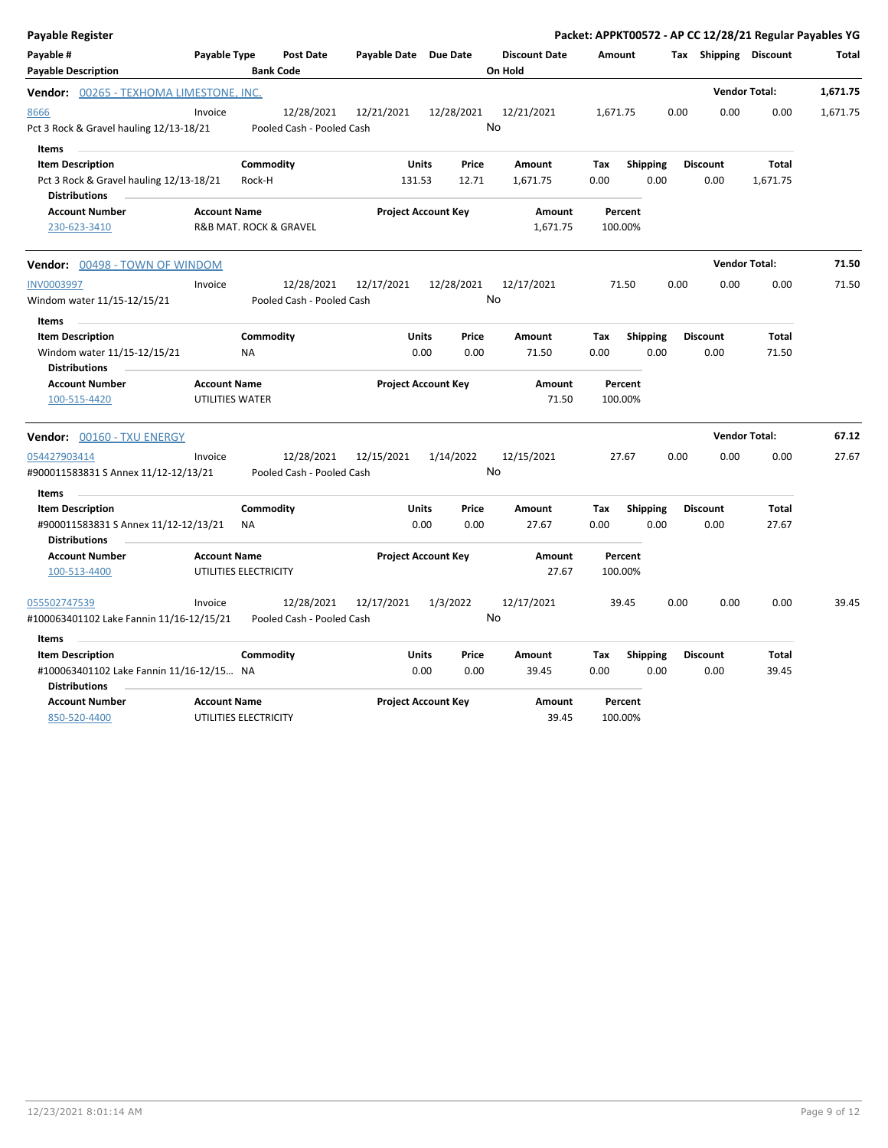| Payable Register                                                                                        |                                               |                                         |                        |                            |                                 |                    |                         | Packet: APPKT00572 - AP CC 12/28/21 Regular Payables YG |                          |          |
|---------------------------------------------------------------------------------------------------------|-----------------------------------------------|-----------------------------------------|------------------------|----------------------------|---------------------------------|--------------------|-------------------------|---------------------------------------------------------|--------------------------|----------|
| Payable #<br><b>Payable Description</b>                                                                 | Payable Type                                  | <b>Post Date</b><br><b>Bank Code</b>    | Payable Date Due Date  |                            | <b>Discount Date</b><br>On Hold | <b>Amount</b>      |                         | Tax Shipping Discount                                   |                          | Total    |
| <b>Vendor:</b> 00265 - TEXHOMA LIMESTONE, INC.                                                          |                                               |                                         |                        |                            |                                 |                    |                         |                                                         | <b>Vendor Total:</b>     | 1,671.75 |
| 8666<br>Pct 3 Rock & Gravel hauling 12/13-18/21                                                         | Invoice                                       | 12/28/2021<br>Pooled Cash - Pooled Cash | 12/21/2021             | 12/28/2021                 | 12/21/2021<br>No                | 1,671.75           |                         | 0.00<br>0.00                                            | 0.00                     | 1,671.75 |
| Items                                                                                                   |                                               |                                         |                        |                            |                                 |                    |                         |                                                         |                          |          |
| <b>Item Description</b><br>Pct 3 Rock & Gravel hauling 12/13-18/21<br><b>Distributions</b>              |                                               | Commodity<br>Rock-H                     | <b>Units</b><br>131.53 | Price<br>12.71             | Amount<br>1,671.75              | Tax<br>0.00        | <b>Shipping</b><br>0.00 | <b>Discount</b><br>0.00                                 | <b>Total</b><br>1,671.75 |          |
| <b>Account Number</b><br>230-623-3410                                                                   | <b>Account Name</b><br>R&B MAT. ROCK & GRAVEL |                                         |                        | <b>Project Account Key</b> | Amount<br>1,671.75              | Percent<br>100.00% |                         |                                                         |                          |          |
| <b>Vendor:</b> 00498 - TOWN OF WINDOM                                                                   |                                               |                                         |                        |                            |                                 |                    |                         |                                                         | <b>Vendor Total:</b>     | 71.50    |
| <b>INV0003997</b><br>Windom water 11/15-12/15/21                                                        | Invoice                                       | 12/28/2021<br>Pooled Cash - Pooled Cash | 12/17/2021             | 12/28/2021                 | 12/17/2021<br>No                | 71.50              |                         | 0.00<br>0.00                                            | 0.00                     | 71.50    |
| <b>Items</b><br><b>Item Description</b><br>Windom water 11/15-12/15/21<br><b>Distributions</b>          | <b>NA</b>                                     | Commodity                               | <b>Units</b>           | Price<br>0.00<br>0.00      | Amount<br>71.50                 | Tax<br>0.00        | Shipping<br>0.00        | <b>Discount</b><br>0.00                                 | <b>Total</b><br>71.50    |          |
| <b>Account Number</b><br>100-515-4420                                                                   | <b>Account Name</b><br>UTILITIES WATER        |                                         |                        | <b>Project Account Key</b> | Amount<br>71.50                 | Percent<br>100.00% |                         |                                                         |                          |          |
| <b>Vendor:</b> 00160 - TXU ENERGY                                                                       |                                               |                                         |                        |                            |                                 |                    |                         |                                                         | <b>Vendor Total:</b>     | 67.12    |
| 054427903414<br>#900011583831 S Annex 11/12-12/13/21                                                    | Invoice                                       | 12/28/2021<br>Pooled Cash - Pooled Cash | 12/15/2021             | 1/14/2022                  | 12/15/2021<br>No                | 27.67              |                         | 0.00<br>0.00                                            | 0.00                     | 27.67    |
| <b>Items</b><br><b>Item Description</b><br>#900011583831 S Annex 11/12-12/13/21<br><b>Distributions</b> | <b>NA</b>                                     | Commodity                               | <b>Units</b>           | Price<br>0.00<br>0.00      | <b>Amount</b><br>27.67          | Tax<br>0.00        | <b>Shipping</b><br>0.00 | <b>Discount</b><br>0.00                                 | <b>Total</b><br>27.67    |          |
| <b>Account Number</b><br>100-513-4400                                                                   | <b>Account Name</b><br>UTILITIES ELECTRICITY  |                                         |                        | <b>Project Account Key</b> | <b>Amount</b><br>27.67          | Percent<br>100.00% |                         |                                                         |                          |          |
| 055502747539<br>#100063401102 Lake Fannin 11/16-12/15/21                                                | Invoice                                       | 12/28/2021<br>Pooled Cash - Pooled Cash | 12/17/2021             | 1/3/2022                   | 12/17/2021<br>No                | 39.45              |                         | 0.00<br>0.00                                            | 0.00                     | 39.45    |
| <b>Items</b>                                                                                            |                                               |                                         |                        |                            |                                 |                    |                         |                                                         |                          |          |
| <b>Item Description</b><br>#100063401102 Lake Fannin 11/16-12/15 NA<br><b>Distributions</b>             |                                               | Commodity                               | Units                  | Price<br>0.00<br>0.00      | Amount<br>39.45                 | Tax<br>0.00        | <b>Shipping</b><br>0.00 | <b>Discount</b><br>0.00                                 | Total<br>39.45           |          |
| <b>Account Number</b><br>850-520-4400                                                                   | <b>Account Name</b><br>UTILITIES ELECTRICITY  |                                         |                        | <b>Project Account Key</b> | <b>Amount</b><br>39.45          | Percent<br>100.00% |                         |                                                         |                          |          |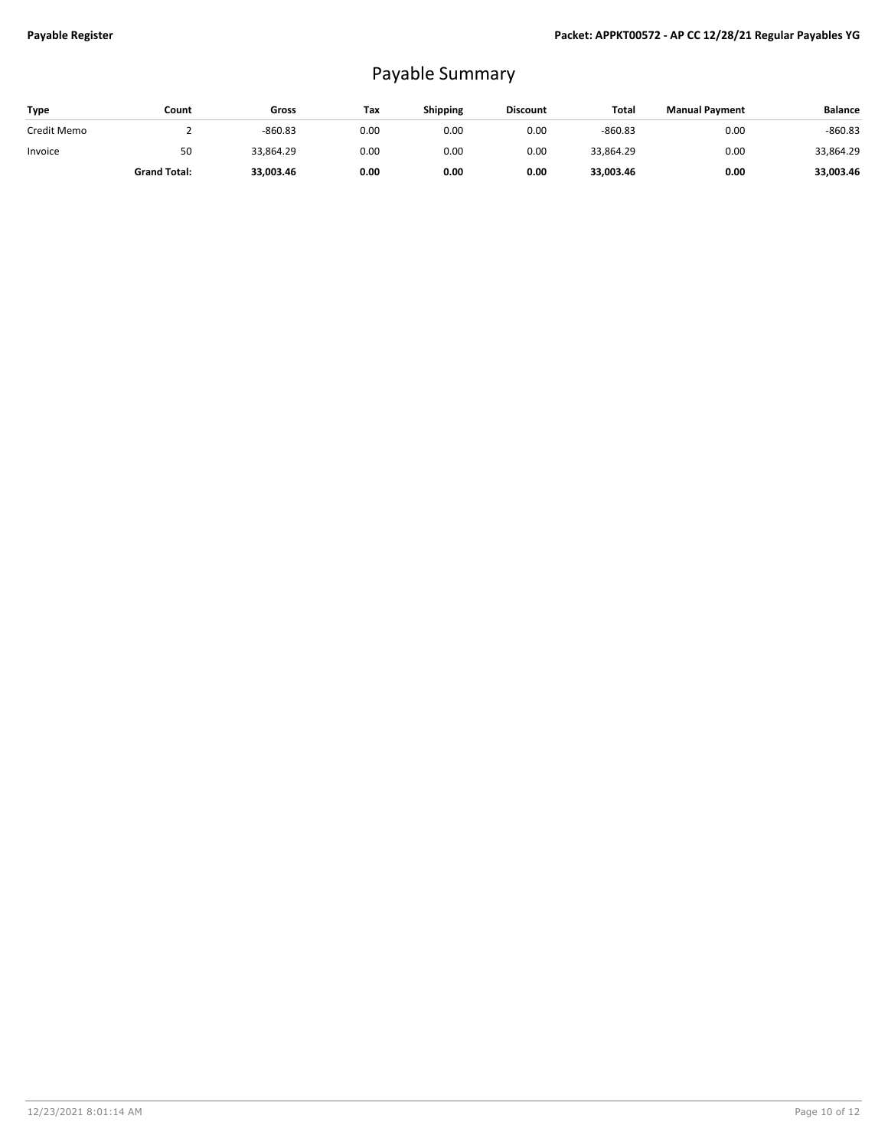## Payable Summary

| Type        | Count               | Gross     | Tax  | <b>Shipping</b> | <b>Discount</b> | Total     | <b>Manual Payment</b> | <b>Balance</b> |
|-------------|---------------------|-----------|------|-----------------|-----------------|-----------|-----------------------|----------------|
| Credit Memo |                     | $-860.83$ | 0.00 | 0.00            | 0.00            | $-860.83$ | 0.00                  | $-860.83$      |
| Invoice     | 50                  | 33,864.29 | 0.00 | 0.00            | 0.00            | 33.864.29 | 0.00                  | 33,864.29      |
|             | <b>Grand Total:</b> | 33.003.46 | 0.00 | 0.00            | 0.00            | 33.003.46 | 0.00                  | 33,003.46      |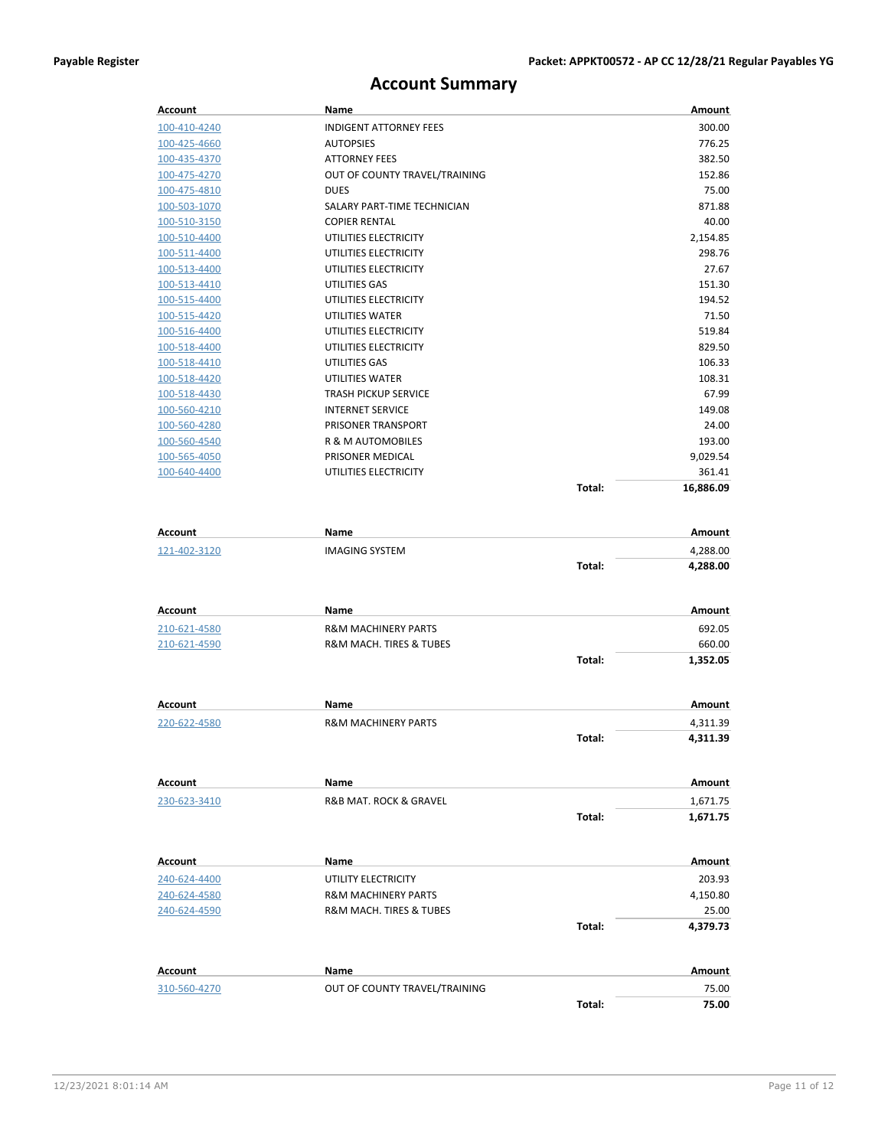## **Account Summary**

| Account      | Name                          | Amount    |
|--------------|-------------------------------|-----------|
| 100-410-4240 | <b>INDIGENT ATTORNEY FEES</b> | 300.00    |
| 100-425-4660 | <b>AUTOPSIES</b>              | 776.25    |
| 100-435-4370 | <b>ATTORNEY FEES</b>          | 382.50    |
| 100-475-4270 | OUT OF COUNTY TRAVEL/TRAINING | 152.86    |
| 100-475-4810 | <b>DUES</b>                   | 75.00     |
| 100-503-1070 | SALARY PART-TIME TECHNICIAN   | 871.88    |
| 100-510-3150 | <b>COPIER RENTAL</b>          | 40.00     |
| 100-510-4400 | UTILITIES ELECTRICITY         | 2,154.85  |
| 100-511-4400 | UTILITIES ELECTRICITY         | 298.76    |
| 100-513-4400 | UTILITIES ELECTRICITY         | 27.67     |
| 100-513-4410 | UTILITIES GAS                 | 151.30    |
| 100-515-4400 | UTILITIES ELECTRICITY         | 194.52    |
| 100-515-4420 | <b>UTILITIES WATER</b>        | 71.50     |
| 100-516-4400 | UTILITIES ELECTRICITY         | 519.84    |
| 100-518-4400 | UTILITIES ELECTRICITY         | 829.50    |
| 100-518-4410 | UTILITIES GAS                 | 106.33    |
| 100-518-4420 | <b>UTILITIES WATER</b>        | 108.31    |
| 100-518-4430 | <b>TRASH PICKUP SERVICE</b>   | 67.99     |
| 100-560-4210 | <b>INTERNET SERVICE</b>       | 149.08    |
| 100-560-4280 | PRISONER TRANSPORT            | 24.00     |
| 100-560-4540 | <b>R &amp; M AUTOMOBILES</b>  | 193.00    |
| 100-565-4050 | PRISONER MEDICAL              | 9,029.54  |
| 100-640-4400 | UTILITIES ELECTRICITY         | 361.41    |
|              | Total:                        | 16.886.09 |
|              |                               |           |

| <b>Account</b> | <b>Name</b>                            |        | Amount        |
|----------------|----------------------------------------|--------|---------------|
| 121-402-3120   | <b>IMAGING SYSTEM</b>                  |        | 4,288.00      |
|                |                                        | Total: | 4,288.00      |
| <b>Account</b> | <b>Name</b>                            |        | Amount        |
| 210-621-4580   | <b>R&amp;M MACHINERY PARTS</b>         |        | 692.05        |
| 210-621-4590   | <b>R&amp;M MACH. TIRES &amp; TUBES</b> |        | 660.00        |
|                |                                        | Total: | 1,352.05      |
| <b>Account</b> | <b>Name</b>                            |        | Amount        |
| 220-622-4580   | <b>R&amp;M MACHINERY PARTS</b>         |        | 4,311.39      |
|                |                                        | Total: | 4,311.39      |
| <b>Account</b> | <b>Name</b>                            |        | Amount        |
| 230-623-3410   | R&B MAT. ROCK & GRAVEL                 |        | 1,671.75      |
|                |                                        | Total: | 1,671.75      |
| <b>Account</b> | <b>Name</b>                            |        | Amount        |
| 240-624-4400   | UTILITY ELECTRICITY                    |        | 203.93        |
| 240-624-4580   | <b>R&amp;M MACHINERY PARTS</b>         |        | 4,150.80      |
| 240-624-4590   | R&M MACH. TIRES & TUBES                |        | 25.00         |
|                |                                        | Total: | 4,379.73      |
| <b>Account</b> | <b>Name</b>                            |        | <b>Amount</b> |
| 310-560-4270   | OUT OF COUNTY TRAVEL/TRAINING          |        | 75.00         |
|                |                                        | Total: | 75.00         |